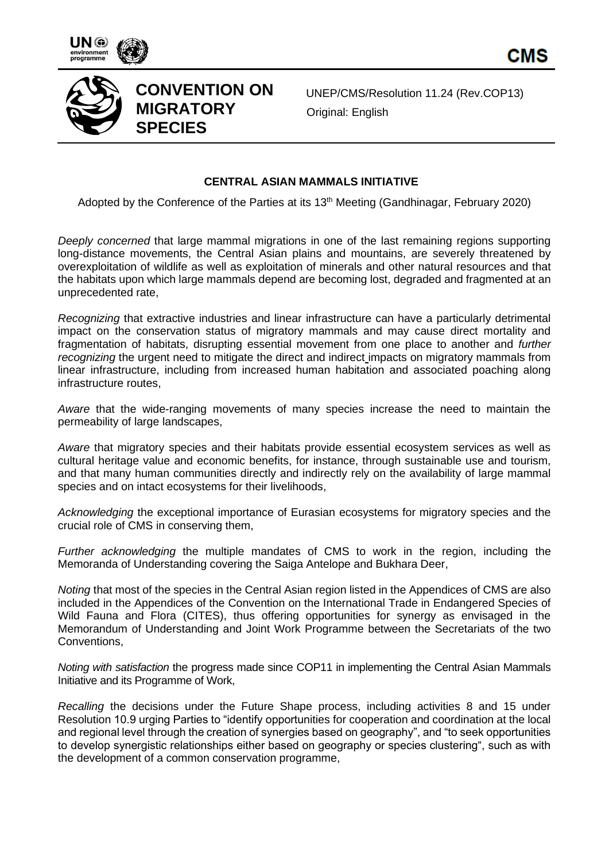





**CONVENTION ON MIGRATORY SPECIES** 

UNEP/CMS/Resolution 11.24 (Rev.COP13) Original: English

### **CENTRAL ASIAN MAMMALS INITIATIVE**

Adopted by the Conference of the Parties at its 13th Meeting (Gandhinagar, February 2020)

*Deeply concerned* that large mammal migrations in one of the last remaining regions supporting long-distance movements, the Central Asian plains and mountains, are severely threatened by overexploitation of wildlife as well as exploitation of minerals and other natural resources and that the habitats upon which large mammals depend are becoming lost, degraded and fragmented at an unprecedented rate,

*Recognizing* that extractive industries and linear infrastructure can have a particularly detrimental impact on the conservation status of migratory mammals and may cause direct mortality and fragmentation of habitats, disrupting essential movement from one place to another and *further recognizing* the urgent need to mitigate the direct and indirect impacts on migratory mammals from linear infrastructure, including from increased human habitation and associated poaching along infrastructure routes,

*Aware* that the wide-ranging movements of many species increase the need to maintain the permeability of large landscapes,

*Aware* that migratory species and their habitats provide essential ecosystem services as well as cultural heritage value and economic benefits, for instance, through sustainable use and tourism, and that many human communities directly and indirectly rely on the availability of large mammal species and on intact ecosystems for their livelihoods,

*Acknowledging* the exceptional importance of Eurasian ecosystems for migratory species and the crucial role of CMS in conserving them,

*Further acknowledging* the multiple mandates of CMS to work in the region, including the Memoranda of Understanding covering the Saiga Antelope and Bukhara Deer,

*Noting* that most of the species in the Central Asian region listed in the Appendices of CMS are also included in the Appendices of the Convention on the International Trade in Endangered Species of Wild Fauna and Flora (CITES), thus offering opportunities for synergy as envisaged in the Memorandum of Understanding and Joint Work Programme between the Secretariats of the two Conventions,

*Noting with satisfaction* the progress made since COP11 in implementing the Central Asian Mammals Initiative and its Programme of Work,

*Recalling* the decisions under the Future Shape process, including activities 8 and 15 under Resolution 10.9 urging Parties to "identify opportunities for cooperation and coordination at the local and regional level through the creation of synergies based on geography", and "to seek opportunities to develop synergistic relationships either based on geography or species clustering", such as with the development of a common conservation programme,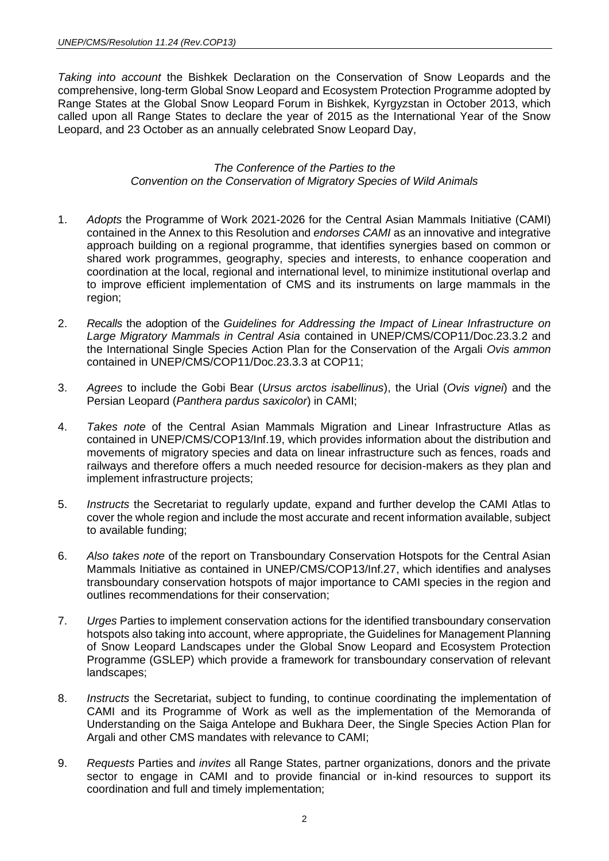*Taking into account* the Bishkek Declaration on the Conservation of Snow Leopards and the comprehensive, long-term Global Snow Leopard and Ecosystem Protection Programme adopted by Range States at the Global Snow Leopard Forum in Bishkek, Kyrgyzstan in October 2013, which called upon all Range States to declare the year of 2015 as the International Year of the Snow Leopard, and 23 October as an annually celebrated Snow Leopard Day,

### *The Conference of the Parties to the Convention on the Conservation of Migratory Species of Wild Animals*

- 1. *Adopts* the Programme of Work 2021-2026 for the Central Asian Mammals Initiative (CAMI) contained in the Annex to this Resolution and *endorses CAMI* as an innovative and integrative approach building on a regional programme, that identifies synergies based on common or shared work programmes, geography, species and interests, to enhance cooperation and coordination at the local, regional and international level, to minimize institutional overlap and to improve efficient implementation of CMS and its instruments on large mammals in the region;
- 2. *Recalls* the adoption of the *Guidelines for Addressing the Impact of Linear Infrastructure on Large Migratory Mammals in Central Asia* contained in UNEP/CMS/COP11/Doc.23.3.2 and the International Single Species Action Plan for the Conservation of the Argali *Ovis ammon*  contained in UNEP/CMS/COP11/Doc.23.3.3 at COP11;
- 3. *Agrees* to include the Gobi Bear (*Ursus arctos isabellinus*), the Urial (*Ovis vignei*) and the Persian Leopard (*Panthera pardus saxicolor*) in CAMI;
- 4. *Takes note* of the Central Asian Mammals Migration and Linear Infrastructure Atlas as contained in UNEP/CMS/COP13/Inf.19, which provides information about the distribution and movements of migratory species and data on linear infrastructure such as fences, roads and railways and therefore offers a much needed resource for decision-makers as they plan and implement infrastructure projects;
- 5. *Instructs* the Secretariat to regularly update, expand and further develop the CAMI Atlas to cover the whole region and include the most accurate and recent information available, subject to available funding;
- 6. *Also takes note* of the report on Transboundary Conservation Hotspots for the Central Asian Mammals Initiative as contained in UNEP/CMS/COP13/Inf.27, which identifies and analyses transboundary conservation hotspots of major importance to CAMI species in the region and outlines recommendations for their conservation;
- 7. *Urges* Parties to implement conservation actions for the identified transboundary conservation hotspots also taking into account, where appropriate, the Guidelines for Management Planning of Snow Leopard Landscapes under the Global Snow Leopard and Ecosystem Protection Programme (GSLEP) which provide a framework for transboundary conservation of relevant landscapes;
- 8. *Instructs* the Secretariat, subject to funding, to continue coordinating the implementation of CAMI and its Programme of Work as well as the implementation of the Memoranda of Understanding on the Saiga Antelope and Bukhara Deer, the Single Species Action Plan for Argali and other CMS mandates with relevance to CAMI;
- 9. *Requests* Parties and *invites* all Range States, partner organizations, donors and the private sector to engage in CAMI and to provide financial or in-kind resources to support its coordination and full and timely implementation;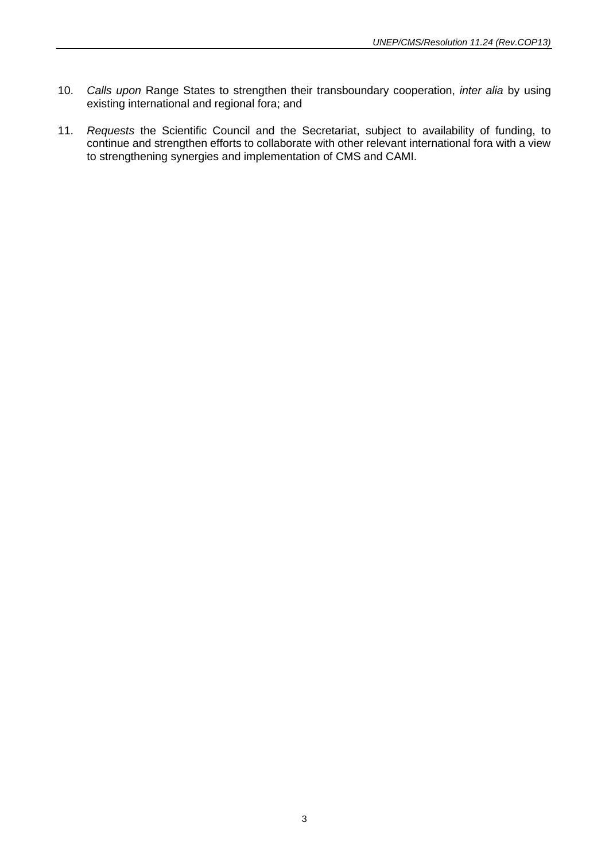- 10. *Calls upon* Range States to strengthen their transboundary cooperation, *inter alia* by using existing international and regional fora; and
- 11. *Requests* the Scientific Council and the Secretariat, subject to availability of funding, to continue and strengthen efforts to collaborate with other relevant international fora with a view to strengthening synergies and implementation of CMS and CAMI.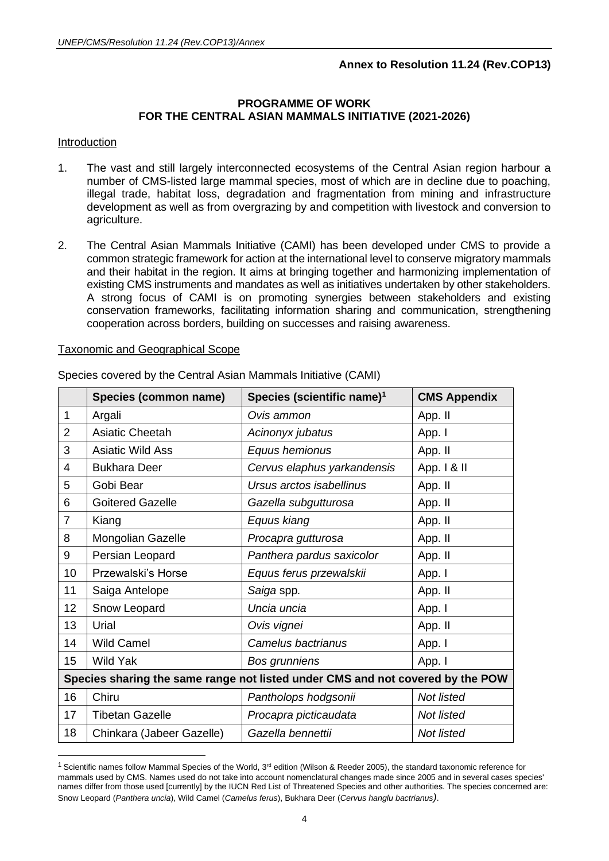# **Annex to Resolution 11.24 (Rev.COP13)**

#### **PROGRAMME OF WORK FOR THE CENTRAL ASIAN MAMMALS INITIATIVE (2021-2026)**

#### Introduction

- 1. The vast and still largely interconnected ecosystems of the Central Asian region harbour a number of CMS-listed large mammal species, most of which are in decline due to poaching, illegal trade, habitat loss, degradation and fragmentation from mining and infrastructure development as well as from overgrazing by and competition with livestock and conversion to agriculture.
- 2. The Central Asian Mammals Initiative (CAMI) has been developed under CMS to provide a common strategic framework for action at the international level to conserve migratory mammals and their habitat in the region. It aims at bringing together and harmonizing implementation of existing CMS instruments and mandates as well as initiatives undertaken by other stakeholders. A strong focus of CAMI is on promoting synergies between stakeholders and existing conservation frameworks, facilitating information sharing and communication, strengthening cooperation across borders, building on successes and raising awareness.

#### Taxonomic and Geographical Scope

|                | Species (common name)                                                          | Species (scientific name) <sup>1</sup> | <b>CMS Appendix</b> |  |
|----------------|--------------------------------------------------------------------------------|----------------------------------------|---------------------|--|
| $\mathbf 1$    | Argali                                                                         | Ovis ammon                             | App. II             |  |
| $\overline{2}$ | Asiatic Cheetah                                                                | Acinonyx jubatus                       | App. I              |  |
| 3              | <b>Asiatic Wild Ass</b>                                                        | Equus hemionus                         | App. II             |  |
| 4              | <b>Bukhara Deer</b>                                                            | Cervus elaphus yarkandensis            | App. I & II         |  |
| 5              | Gobi Bear                                                                      | Ursus arctos isabellinus               | App. II             |  |
| 6              | <b>Goitered Gazelle</b>                                                        | Gazella subgutturosa                   | App. II             |  |
| $\overline{7}$ | Kiang                                                                          | Equus kiang                            | App. II             |  |
| 8              | Mongolian Gazelle                                                              | Procapra gutturosa                     | App. II             |  |
| 9              | Persian Leopard                                                                | Panthera pardus saxicolor              | App. II             |  |
| 10             | Przewalski's Horse                                                             | Equus ferus przewalskii                | App. I              |  |
| 11             | Saiga Antelope                                                                 | Saiga spp.                             | App. II             |  |
| 12             | Snow Leopard                                                                   | Uncia uncia                            | App. I              |  |
| 13             | Urial                                                                          | Ovis vignei                            | App. II             |  |
| 14             | <b>Wild Camel</b>                                                              | Camelus bactrianus                     | App. I              |  |
| 15             | <b>Wild Yak</b>                                                                | Bos grunniens                          | App. I              |  |
|                | Species sharing the same range not listed under CMS and not covered by the POW |                                        |                     |  |
| 16             | Chiru                                                                          | Pantholops hodgsonii                   | Not listed          |  |
| 17             | <b>Tibetan Gazelle</b>                                                         | Procapra picticaudata                  | Not listed          |  |
| 18             | Chinkara (Jabeer Gazelle)                                                      | Gazella bennettii                      | Not listed          |  |

Species covered by the Central Asian Mammals Initiative (CAMI)

<sup>&</sup>lt;sup>1</sup> Scientific names follow Mammal Species of the World,  $3<sup>rd</sup>$  edition (Wilson & Reeder 2005), the standard taxonomic reference for mammals used by CMS. Names used do not take into account nomenclatural changes made since 2005 and in several cases species' names differ from those used [currently] by the IUCN Red List of Threatened Species and other authorities. The species concerned are: Snow Leopard (*Panthera uncia*), Wild Camel (*Camelus ferus*), Bukhara Deer (*Cervus hanglu bactrianus)*.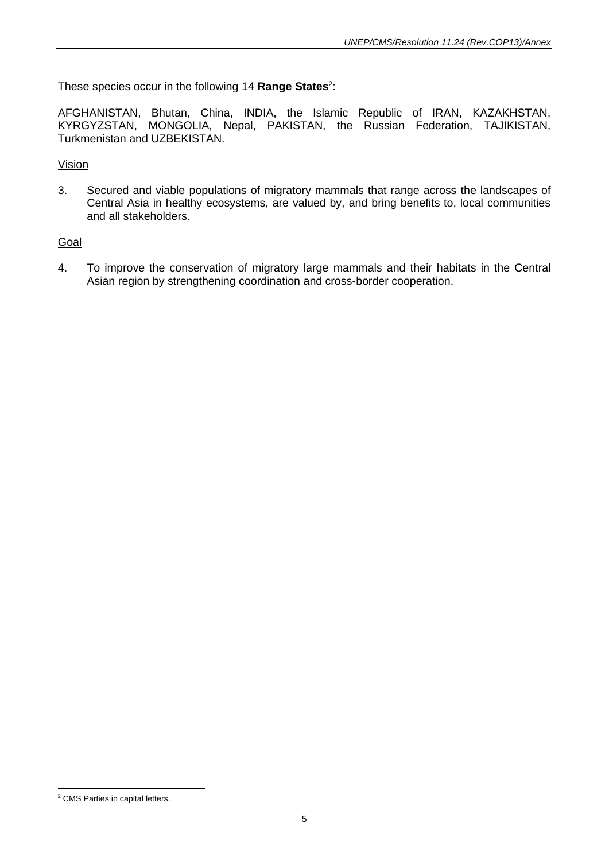These species occur in the following 14 Range States<sup>2</sup>:

AFGHANISTAN, Bhutan, China, INDIA, the Islamic Republic of IRAN, KAZAKHSTAN, KYRGYZSTAN, MONGOLIA, Nepal, PAKISTAN, the Russian Federation, TAJIKISTAN, Turkmenistan and UZBEKISTAN.

# Vision

3. Secured and viable populations of migratory mammals that range across the landscapes of Central Asia in healthy ecosystems, are valued by, and bring benefits to, local communities and all stakeholders.

# Goal

4. To improve the conservation of migratory large mammals and their habitats in the Central Asian region by strengthening coordination and cross-border cooperation.

<sup>2</sup> CMS Parties in capital letters.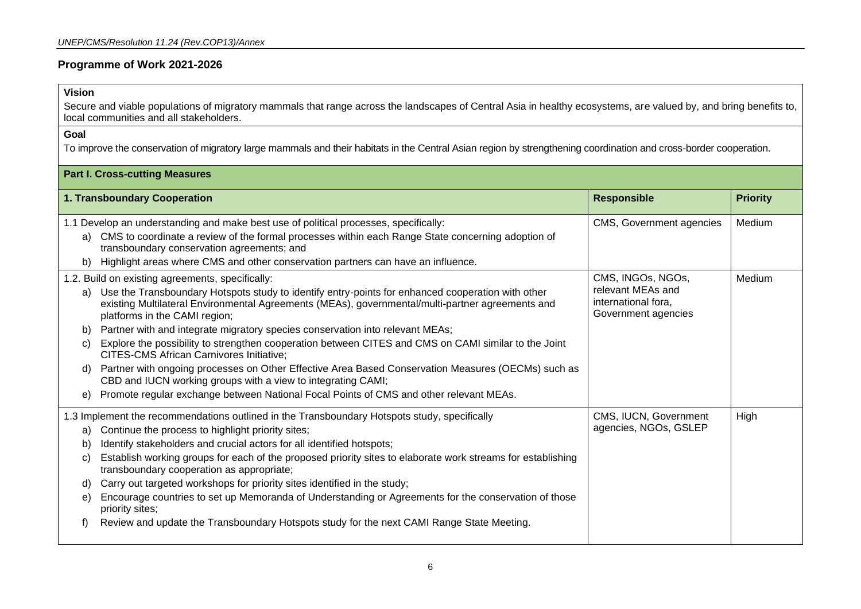# **Programme of Work 2021-2026**

# **Vision**

Secure and viable populations of migratory mammals that range across the landscapes of Central Asia in healthy ecosystems, are valued by, and bring benefits to, local communities and all stakeholders.

#### **Goal**

To improve the conservation of migratory large mammals and their habitats in the Central Asian region by strengthening coordination and cross-border cooperation.

| <b>Part I. Cross-cutting Measures</b> |                                                                                                                                                                                                                                                                                                                                                                                                                                                                                                                                                                                                                                                                                                                                                                                                        |                                                                                      |                 |
|---------------------------------------|--------------------------------------------------------------------------------------------------------------------------------------------------------------------------------------------------------------------------------------------------------------------------------------------------------------------------------------------------------------------------------------------------------------------------------------------------------------------------------------------------------------------------------------------------------------------------------------------------------------------------------------------------------------------------------------------------------------------------------------------------------------------------------------------------------|--------------------------------------------------------------------------------------|-----------------|
|                                       | 1. Transboundary Cooperation                                                                                                                                                                                                                                                                                                                                                                                                                                                                                                                                                                                                                                                                                                                                                                           | <b>Responsible</b>                                                                   | <b>Priority</b> |
| a)<br>b)                              | 1.1 Develop an understanding and make best use of political processes, specifically:<br>CMS to coordinate a review of the formal processes within each Range State concerning adoption of<br>transboundary conservation agreements; and<br>Highlight areas where CMS and other conservation partners can have an influence.                                                                                                                                                                                                                                                                                                                                                                                                                                                                            | CMS, Government agencies                                                             | Medium          |
| a)<br>b)<br>C)<br>d)<br>e)            | 1.2. Build on existing agreements, specifically:<br>Use the Transboundary Hotspots study to identify entry-points for enhanced cooperation with other<br>existing Multilateral Environmental Agreements (MEAs), governmental/multi-partner agreements and<br>platforms in the CAMI region;<br>Partner with and integrate migratory species conservation into relevant MEAs;<br>Explore the possibility to strengthen cooperation between CITES and CMS on CAMI similar to the Joint<br><b>CITES-CMS African Carnivores Initiative;</b><br>Partner with ongoing processes on Other Effective Area Based Conservation Measures (OECMs) such as<br>CBD and IUCN working groups with a view to integrating CAMI;<br>Promote regular exchange between National Focal Points of CMS and other relevant MEAs. | CMS, INGOs, NGOs,<br>relevant MEAs and<br>international fora,<br>Government agencies | Medium          |
| a)<br>b)<br>C)<br>d)<br>e)<br>f)      | 1.3 Implement the recommendations outlined in the Transboundary Hotspots study, specifically<br>Continue the process to highlight priority sites;<br>Identify stakeholders and crucial actors for all identified hotspots;<br>Establish working groups for each of the proposed priority sites to elaborate work streams for establishing<br>transboundary cooperation as appropriate;<br>Carry out targeted workshops for priority sites identified in the study;<br>Encourage countries to set up Memoranda of Understanding or Agreements for the conservation of those<br>priority sites;<br>Review and update the Transboundary Hotspots study for the next CAMI Range State Meeting.                                                                                                             | CMS, IUCN, Government<br>agencies, NGOs, GSLEP                                       | High            |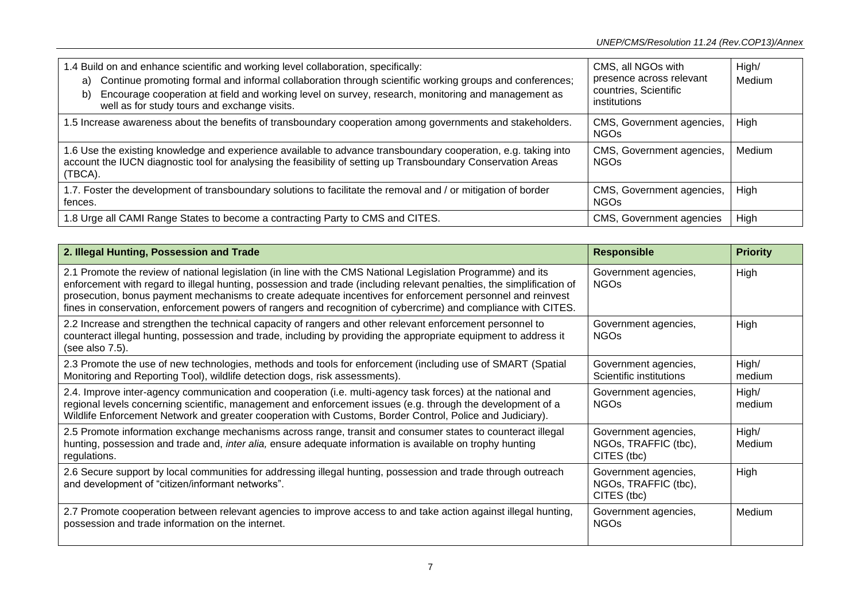| 1.4 Build on and enhance scientific and working level collaboration, specifically:<br>Continue promoting formal and informal collaboration through scientific working groups and conferences;<br>a)<br>Encourage cooperation at field and working level on survey, research, monitoring and management as<br>b)<br>well as for study tours and exchange visits. | CMS, all NGOs with<br>presence across relevant<br>countries, Scientific<br>institutions | High/<br>Medium |
|-----------------------------------------------------------------------------------------------------------------------------------------------------------------------------------------------------------------------------------------------------------------------------------------------------------------------------------------------------------------|-----------------------------------------------------------------------------------------|-----------------|
| 1.5 Increase awareness about the benefits of transboundary cooperation among governments and stakeholders.                                                                                                                                                                                                                                                      | CMS, Government agencies,<br><b>NGOs</b>                                                | High            |
| 1.6 Use the existing knowledge and experience available to advance transboundary cooperation, e.g. taking into<br>account the IUCN diagnostic tool for analysing the feasibility of setting up Transboundary Conservation Areas<br>(TBCA).                                                                                                                      | CMS, Government agencies,<br><b>NGOs</b>                                                | Medium          |
| 1.7. Foster the development of transboundary solutions to facilitate the removal and / or mitigation of border<br>fences.                                                                                                                                                                                                                                       | CMS, Government agencies,<br><b>NGOs</b>                                                | High            |
| 1.8 Urge all CAMI Range States to become a contracting Party to CMS and CITES.                                                                                                                                                                                                                                                                                  | CMS, Government agencies                                                                | High            |

| 2. Illegal Hunting, Possession and Trade                                                                                                                                                                                                                                                                                                                                                                                                                              | <b>Responsible</b>                                          | <b>Priority</b> |
|-----------------------------------------------------------------------------------------------------------------------------------------------------------------------------------------------------------------------------------------------------------------------------------------------------------------------------------------------------------------------------------------------------------------------------------------------------------------------|-------------------------------------------------------------|-----------------|
| 2.1 Promote the review of national legislation (in line with the CMS National Legislation Programme) and its<br>enforcement with regard to illegal hunting, possession and trade (including relevant penalties, the simplification of<br>prosecution, bonus payment mechanisms to create adequate incentives for enforcement personnel and reinvest<br>fines in conservation, enforcement powers of rangers and recognition of cybercrime) and compliance with CITES. | Government agencies,<br><b>NGO<sub>S</sub></b>              | High            |
| 2.2 Increase and strengthen the technical capacity of rangers and other relevant enforcement personnel to<br>counteract illegal hunting, possession and trade, including by providing the appropriate equipment to address it<br>(see also 7.5).                                                                                                                                                                                                                      | Government agencies,<br><b>NGOs</b>                         | High            |
| 2.3 Promote the use of new technologies, methods and tools for enforcement (including use of SMART (Spatial<br>Monitoring and Reporting Tool), wildlife detection dogs, risk assessments).                                                                                                                                                                                                                                                                            | Government agencies,<br>Scientific institutions             | High/<br>medium |
| 2.4. Improve inter-agency communication and cooperation (i.e. multi-agency task forces) at the national and<br>regional levels concerning scientific, management and enforcement issues (e.g. through the development of a<br>Wildlife Enforcement Network and greater cooperation with Customs, Border Control, Police and Judiciary).                                                                                                                               | Government agencies,<br><b>NGOs</b>                         | High/<br>medium |
| 2.5 Promote information exchange mechanisms across range, transit and consumer states to counteract illegal<br>hunting, possession and trade and, inter alia, ensure adequate information is available on trophy hunting<br>regulations.                                                                                                                                                                                                                              | Government agencies,<br>NGOs, TRAFFIC (tbc),<br>CITES (tbc) | High/<br>Medium |
| 2.6 Secure support by local communities for addressing illegal hunting, possession and trade through outreach<br>and development of "citizen/informant networks".                                                                                                                                                                                                                                                                                                     | Government agencies,<br>NGOs, TRAFFIC (tbc),<br>CITES (tbc) | High            |
| 2.7 Promote cooperation between relevant agencies to improve access to and take action against illegal hunting,<br>possession and trade information on the internet.                                                                                                                                                                                                                                                                                                  | Government agencies,<br><b>NGOs</b>                         | Medium          |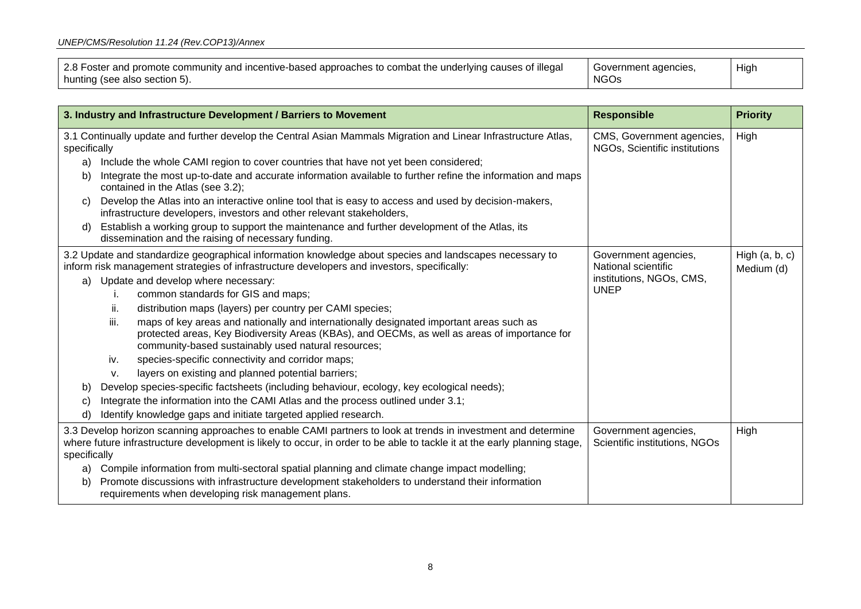| 2.8 Foster and promote community and incentive-based approaches to combat the underlying causes of illegal | Government agencies, | High |
|------------------------------------------------------------------------------------------------------------|----------------------|------|
| hunting (see also section 5).                                                                              | NGO <sub>S</sub>     |      |

|              |                                                                                                                                 | 3. Industry and Infrastructure Development / Barriers to Movement                                                                                                                                                                               | <b>Responsible</b>                                         | <b>Priority</b>                |
|--------------|---------------------------------------------------------------------------------------------------------------------------------|-------------------------------------------------------------------------------------------------------------------------------------------------------------------------------------------------------------------------------------------------|------------------------------------------------------------|--------------------------------|
|              | 3.1 Continually update and further develop the Central Asian Mammals Migration and Linear Infrastructure Atlas,<br>specifically |                                                                                                                                                                                                                                                 | CMS, Government agencies,<br>NGOs, Scientific institutions | High                           |
| a)           |                                                                                                                                 | Include the whole CAMI region to cover countries that have not yet been considered;                                                                                                                                                             |                                                            |                                |
| b)           |                                                                                                                                 | Integrate the most up-to-date and accurate information available to further refine the information and maps<br>contained in the Atlas (see 3.2);                                                                                                |                                                            |                                |
| C)           |                                                                                                                                 | Develop the Atlas into an interactive online tool that is easy to access and used by decision-makers,<br>infrastructure developers, investors and other relevant stakeholders,                                                                  |                                                            |                                |
| d)           |                                                                                                                                 | Establish a working group to support the maintenance and further development of the Atlas, its<br>dissemination and the raising of necessary funding.                                                                                           |                                                            |                                |
|              |                                                                                                                                 | 3.2 Update and standardize geographical information knowledge about species and landscapes necessary to<br>inform risk management strategies of infrastructure developers and investors, specifically:                                          | Government agencies,<br>National scientific                | High $(a, b, c)$<br>Medium (d) |
| a)           |                                                                                                                                 | Update and develop where necessary:                                                                                                                                                                                                             | institutions, NGOs, CMS,                                   |                                |
|              | Τ.                                                                                                                              | common standards for GIS and maps;                                                                                                                                                                                                              | <b>UNEP</b>                                                |                                |
|              | Ш.                                                                                                                              | distribution maps (layers) per country per CAMI species;                                                                                                                                                                                        |                                                            |                                |
|              | iii.                                                                                                                            | maps of key areas and nationally and internationally designated important areas such as<br>protected areas, Key Biodiversity Areas (KBAs), and OECMs, as well as areas of importance for<br>community-based sustainably used natural resources; |                                                            |                                |
|              | iv.                                                                                                                             | species-specific connectivity and corridor maps;                                                                                                                                                                                                |                                                            |                                |
|              | V.                                                                                                                              | layers on existing and planned potential barriers;                                                                                                                                                                                              |                                                            |                                |
| b)           |                                                                                                                                 | Develop species-specific factsheets (including behaviour, ecology, key ecological needs);                                                                                                                                                       |                                                            |                                |
| C)           |                                                                                                                                 | Integrate the information into the CAMI Atlas and the process outlined under 3.1;                                                                                                                                                               |                                                            |                                |
| d)           |                                                                                                                                 | Identify knowledge gaps and initiate targeted applied research.                                                                                                                                                                                 |                                                            |                                |
| specifically |                                                                                                                                 | 3.3 Develop horizon scanning approaches to enable CAMI partners to look at trends in investment and determine<br>where future infrastructure development is likely to occur, in order to be able to tackle it at the early planning stage,      | Government agencies,<br>Scientific institutions, NGOs      | High                           |
| a)           |                                                                                                                                 | Compile information from multi-sectoral spatial planning and climate change impact modelling;                                                                                                                                                   |                                                            |                                |
| b)           |                                                                                                                                 | Promote discussions with infrastructure development stakeholders to understand their information<br>requirements when developing risk management plans.                                                                                         |                                                            |                                |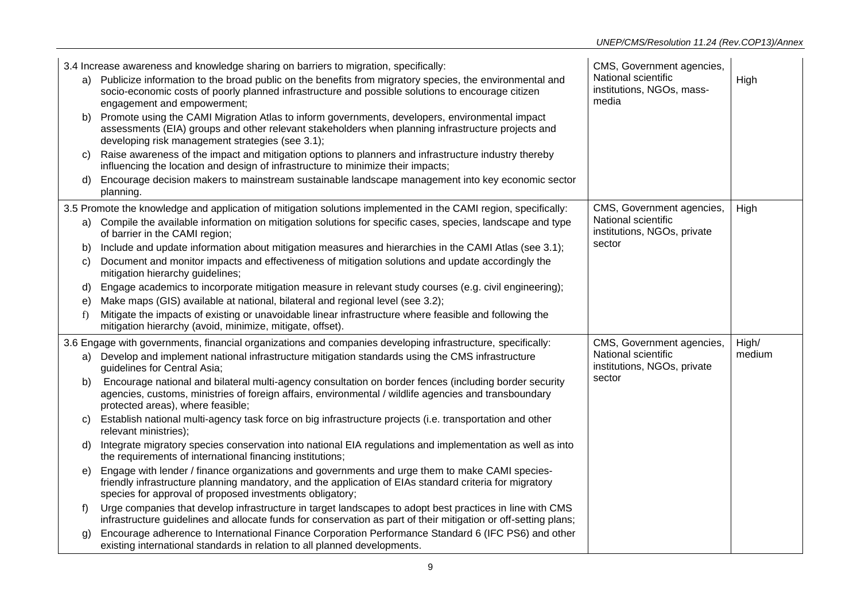|    | 3.4 Increase awareness and knowledge sharing on barriers to migration, specifically:                                                                                                                                                                                  | CMS, Government agencies,                                 |        |
|----|-----------------------------------------------------------------------------------------------------------------------------------------------------------------------------------------------------------------------------------------------------------------------|-----------------------------------------------------------|--------|
| a) | Publicize information to the broad public on the benefits from migratory species, the environmental and<br>socio-economic costs of poorly planned infrastructure and possible solutions to encourage citizen<br>engagement and empowerment;                           | National scientific<br>institutions, NGOs, mass-<br>media | High   |
| b) | Promote using the CAMI Migration Atlas to inform governments, developers, environmental impact<br>assessments (EIA) groups and other relevant stakeholders when planning infrastructure projects and<br>developing risk management strategies (see 3.1);              |                                                           |        |
| C) | Raise awareness of the impact and mitigation options to planners and infrastructure industry thereby<br>influencing the location and design of infrastructure to minimize their impacts;                                                                              |                                                           |        |
|    | Encourage decision makers to mainstream sustainable landscape management into key economic sector<br>planning.                                                                                                                                                        |                                                           |        |
|    | 3.5 Promote the knowledge and application of mitigation solutions implemented in the CAMI region, specifically:                                                                                                                                                       | CMS, Government agencies,                                 | High   |
|    | a) Compile the available information on mitigation solutions for specific cases, species, landscape and type<br>of barrier in the CAMI region;                                                                                                                        | National scientific<br>institutions, NGOs, private        |        |
| b) | Include and update information about mitigation measures and hierarchies in the CAMI Atlas (see 3.1);                                                                                                                                                                 | sector                                                    |        |
| C) | Document and monitor impacts and effectiveness of mitigation solutions and update accordingly the<br>mitigation hierarchy guidelines;                                                                                                                                 |                                                           |        |
| d) | Engage academics to incorporate mitigation measure in relevant study courses (e.g. civil engineering);                                                                                                                                                                |                                                           |        |
| e) | Make maps (GIS) available at national, bilateral and regional level (see 3.2);                                                                                                                                                                                        |                                                           |        |
| f) | Mitigate the impacts of existing or unavoidable linear infrastructure where feasible and following the<br>mitigation hierarchy (avoid, minimize, mitigate, offset).                                                                                                   |                                                           |        |
|    | 3.6 Engage with governments, financial organizations and companies developing infrastructure, specifically:                                                                                                                                                           | CMS, Government agencies,                                 | High/  |
| a) | Develop and implement national infrastructure mitigation standards using the CMS infrastructure<br>guidelines for Central Asia;                                                                                                                                       | National scientific<br>institutions, NGOs, private        | medium |
| b) | Encourage national and bilateral multi-agency consultation on border fences (including border security<br>agencies, customs, ministries of foreign affairs, environmental / wildlife agencies and transboundary<br>protected areas), where feasible;                  | sector                                                    |        |
| C) | Establish national multi-agency task force on big infrastructure projects (i.e. transportation and other<br>relevant ministries);                                                                                                                                     |                                                           |        |
| d) | Integrate migratory species conservation into national EIA regulations and implementation as well as into<br>the requirements of international financing institutions;                                                                                                |                                                           |        |
| e) | Engage with lender / finance organizations and governments and urge them to make CAMI species-<br>friendly infrastructure planning mandatory, and the application of EIAs standard criteria for migratory<br>species for approval of proposed investments obligatory; |                                                           |        |
| f) | Urge companies that develop infrastructure in target landscapes to adopt best practices in line with CMS<br>infrastructure guidelines and allocate funds for conservation as part of their mitigation or off-setting plans;                                           |                                                           |        |
| g) | Encourage adherence to International Finance Corporation Performance Standard 6 (IFC PS6) and other<br>existing international standards in relation to all planned developments.                                                                                      |                                                           |        |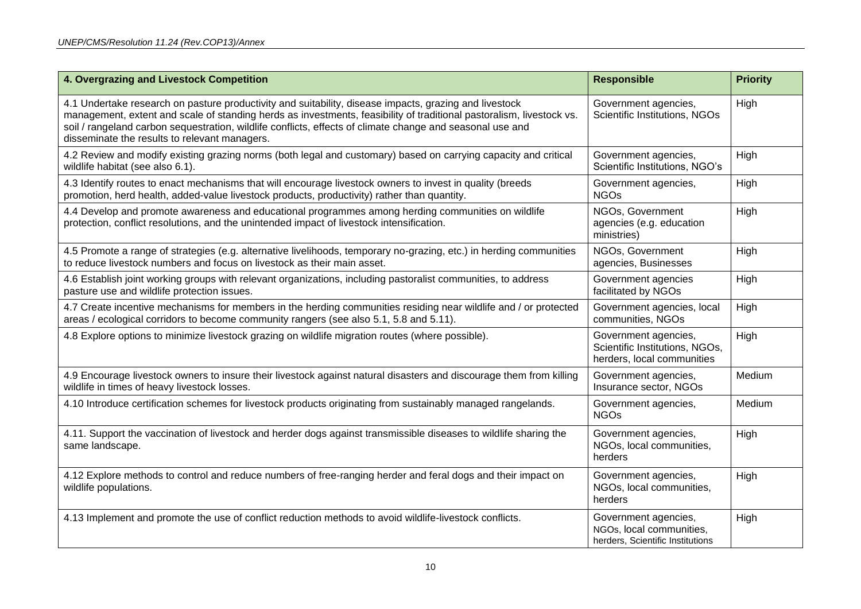| 4. Overgrazing and Livestock Competition                                                                                                                                                                                                                                                                                                                                                     | <b>Responsible</b>                                                                   | <b>Priority</b> |
|----------------------------------------------------------------------------------------------------------------------------------------------------------------------------------------------------------------------------------------------------------------------------------------------------------------------------------------------------------------------------------------------|--------------------------------------------------------------------------------------|-----------------|
| 4.1 Undertake research on pasture productivity and suitability, disease impacts, grazing and livestock<br>management, extent and scale of standing herds as investments, feasibility of traditional pastoralism, livestock vs.<br>soil / rangeland carbon sequestration, wildlife conflicts, effects of climate change and seasonal use and<br>disseminate the results to relevant managers. | Government agencies,<br>Scientific Institutions, NGOs                                | High            |
| 4.2 Review and modify existing grazing norms (both legal and customary) based on carrying capacity and critical<br>wildlife habitat (see also 6.1).                                                                                                                                                                                                                                          | Government agencies,<br>Scientific Institutions, NGO's                               | High            |
| 4.3 Identify routes to enact mechanisms that will encourage livestock owners to invest in quality (breeds<br>promotion, herd health, added-value livestock products, productivity) rather than quantity.                                                                                                                                                                                     | Government agencies,<br><b>NGOs</b>                                                  | High            |
| 4.4 Develop and promote awareness and educational programmes among herding communities on wildlife<br>protection, conflict resolutions, and the unintended impact of livestock intensification.                                                                                                                                                                                              | NGOs, Government<br>agencies (e.g. education<br>ministries)                          | High            |
| 4.5 Promote a range of strategies (e.g. alternative livelihoods, temporary no-grazing, etc.) in herding communities<br>to reduce livestock numbers and focus on livestock as their main asset.                                                                                                                                                                                               | NGOs, Government<br>agencies, Businesses                                             | High            |
| 4.6 Establish joint working groups with relevant organizations, including pastoralist communities, to address<br>pasture use and wildlife protection issues.                                                                                                                                                                                                                                 | Government agencies<br>facilitated by NGOs                                           | High            |
| 4.7 Create incentive mechanisms for members in the herding communities residing near wildlife and / or protected<br>areas / ecological corridors to become community rangers (see also 5.1, 5.8 and 5.11).                                                                                                                                                                                   | Government agencies, local<br>communities, NGOs                                      | High            |
| 4.8 Explore options to minimize livestock grazing on wildlife migration routes (where possible).                                                                                                                                                                                                                                                                                             | Government agencies,<br>Scientific Institutions, NGOs,<br>herders, local communities | High            |
| 4.9 Encourage livestock owners to insure their livestock against natural disasters and discourage them from killing<br>wildlife in times of heavy livestock losses.                                                                                                                                                                                                                          | Government agencies,<br>Insurance sector, NGOs                                       | Medium          |
| 4.10 Introduce certification schemes for livestock products originating from sustainably managed rangelands.                                                                                                                                                                                                                                                                                 | Government agencies,<br><b>NGOs</b>                                                  | Medium          |
| 4.11. Support the vaccination of livestock and herder dogs against transmissible diseases to wildlife sharing the<br>same landscape.                                                                                                                                                                                                                                                         | Government agencies,<br>NGOs, local communities,<br>herders                          | High            |
| 4.12 Explore methods to control and reduce numbers of free-ranging herder and feral dogs and their impact on<br>wildlife populations.                                                                                                                                                                                                                                                        | Government agencies,<br>NGOs, local communities,<br>herders                          | High            |
| 4.13 Implement and promote the use of conflict reduction methods to avoid wildlife-livestock conflicts.                                                                                                                                                                                                                                                                                      | Government agencies,<br>NGOs, local communities,<br>herders, Scientific Institutions | High            |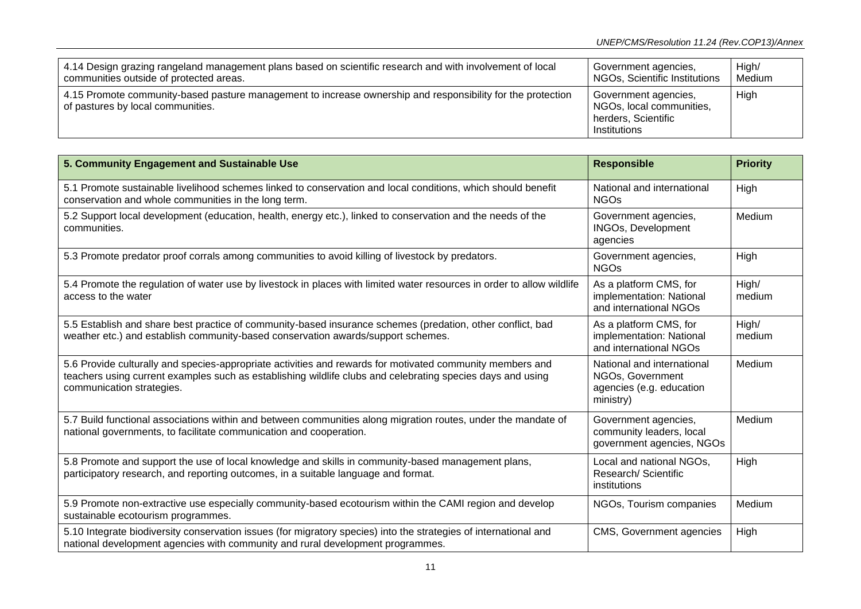| 4.14 Design grazing rangeland management plans based on scientific research and with involvement of local                                        | Government agencies,                                                                    | High/  |
|--------------------------------------------------------------------------------------------------------------------------------------------------|-----------------------------------------------------------------------------------------|--------|
| communities outside of protected areas.                                                                                                          | NGOs, Scientific Institutions                                                           | Medium |
| 4.15 Promote community-based pasture management to increase ownership and responsibility for the protection<br>of pastures by local communities. | Government agencies,<br>NGOs, local communities,<br>herders, Scientific<br>Institutions | High   |

| 5. Community Engagement and Sustainable Use                                                                                                                                                                                                          | <b>Responsible</b>                                                                      | <b>Priority</b> |
|------------------------------------------------------------------------------------------------------------------------------------------------------------------------------------------------------------------------------------------------------|-----------------------------------------------------------------------------------------|-----------------|
| 5.1 Promote sustainable livelihood schemes linked to conservation and local conditions, which should benefit<br>conservation and whole communities in the long term.                                                                                 | National and international<br><b>NGOs</b>                                               | High            |
| 5.2 Support local development (education, health, energy etc.), linked to conservation and the needs of the<br>communities.                                                                                                                          | Government agencies,<br><b>INGOs, Development</b><br>agencies                           | Medium          |
| 5.3 Promote predator proof corrals among communities to avoid killing of livestock by predators.                                                                                                                                                     | Government agencies,<br><b>NGOs</b>                                                     | High            |
| 5.4 Promote the regulation of water use by livestock in places with limited water resources in order to allow wildlife<br>access to the water                                                                                                        | As a platform CMS, for<br>implementation: National<br>and international NGOs            | High/<br>medium |
| 5.5 Establish and share best practice of community-based insurance schemes (predation, other conflict, bad<br>weather etc.) and establish community-based conservation awards/support schemes.                                                       | As a platform CMS, for<br>implementation: National<br>and international NGOs            | High/<br>medium |
| 5.6 Provide culturally and species-appropriate activities and rewards for motivated community members and<br>teachers using current examples such as establishing wildlife clubs and celebrating species days and using<br>communication strategies. | National and international<br>NGOs, Government<br>agencies (e.g. education<br>ministry) | Medium          |
| 5.7 Build functional associations within and between communities along migration routes, under the mandate of<br>national governments, to facilitate communication and cooperation.                                                                  | Government agencies,<br>community leaders, local<br>government agencies, NGOs           | Medium          |
| 5.8 Promote and support the use of local knowledge and skills in community-based management plans,<br>participatory research, and reporting outcomes, in a suitable language and format.                                                             | Local and national NGOs,<br>Research/ Scientific<br>institutions                        | High            |
| 5.9 Promote non-extractive use especially community-based ecotourism within the CAMI region and develop<br>sustainable ecotourism programmes.                                                                                                        | NGOs, Tourism companies                                                                 | Medium          |
| 5.10 Integrate biodiversity conservation issues (for migratory species) into the strategies of international and<br>national development agencies with community and rural development programmes.                                                   | CMS, Government agencies                                                                | High            |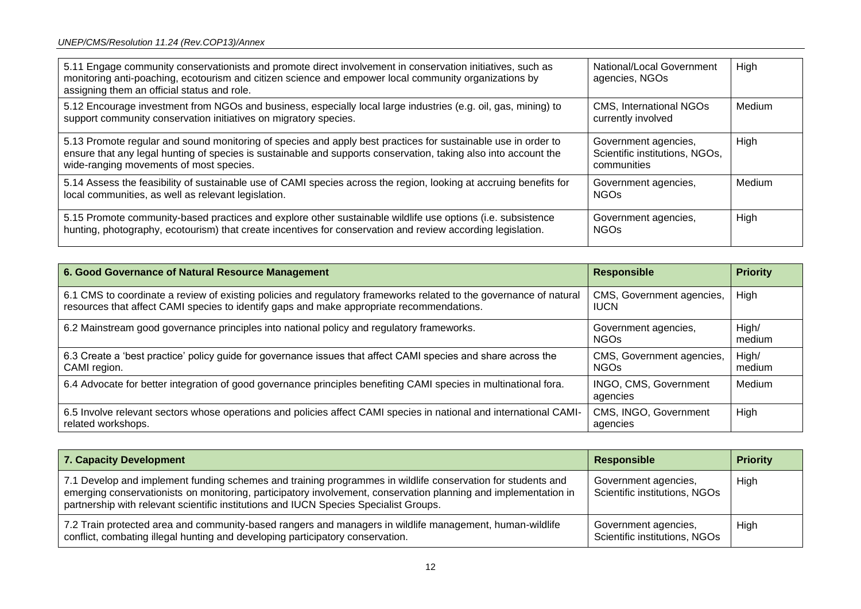| 5.11 Engage community conservationists and promote direct involvement in conservation initiatives, such as<br>monitoring anti-poaching, ecotourism and citizen science and empower local community organizations by<br>assigning them an official status and role.          | National/Local Government<br>agencies, NGOs                           | High   |
|-----------------------------------------------------------------------------------------------------------------------------------------------------------------------------------------------------------------------------------------------------------------------------|-----------------------------------------------------------------------|--------|
| 5.12 Encourage investment from NGOs and business, especially local large industries (e.g. oil, gas, mining) to<br>support community conservation initiatives on migratory species.                                                                                          | CMS, International NGOs<br>currently involved                         | Medium |
| 5.13 Promote regular and sound monitoring of species and apply best practices for sustainable use in order to<br>ensure that any legal hunting of species is sustainable and supports conservation, taking also into account the<br>wide-ranging movements of most species. | Government agencies,<br>Scientific institutions, NGOs,<br>communities | High   |
| 5.14 Assess the feasibility of sustainable use of CAMI species across the region, looking at accruing benefits for<br>local communities, as well as relevant legislation.                                                                                                   | Government agencies,<br><b>NGOs</b>                                   | Medium |
| 5.15 Promote community-based practices and explore other sustainable wildlife use options (i.e. subsistence<br>hunting, photography, ecotourism) that create incentives for conservation and review according legislation.                                                  | Government agencies,<br><b>NGOs</b>                                   | High   |

| 6. Good Governance of Natural Resource Management                                                                                                                                                               | <b>Responsible</b>                       | <b>Priority</b> |
|-----------------------------------------------------------------------------------------------------------------------------------------------------------------------------------------------------------------|------------------------------------------|-----------------|
| 6.1 CMS to coordinate a review of existing policies and regulatory frameworks related to the governance of natural<br>resources that affect CAMI species to identify gaps and make appropriate recommendations. | CMS, Government agencies,<br><b>IUCN</b> | High            |
| 6.2 Mainstream good governance principles into national policy and regulatory frameworks.                                                                                                                       | Government agencies,<br><b>NGOs</b>      | High/<br>medium |
| 6.3 Create a 'best practice' policy guide for governance issues that affect CAMI species and share across the<br>CAMI region.                                                                                   | CMS, Government agencies,<br><b>NGOs</b> | High/<br>medium |
| 6.4 Advocate for better integration of good governance principles benefiting CAMI species in multinational fora.                                                                                                | INGO, CMS, Government<br>agencies        | Medium          |
| 6.5 Involve relevant sectors whose operations and policies affect CAMI species in national and international CAMI-<br>related workshops.                                                                        | CMS, INGO, Government<br>agencies        | High            |

| 7. Capacity Development                                                                                                                                                                                                                                                                                                 | <b>Responsible</b>                                    | <b>Priority</b> |
|-------------------------------------------------------------------------------------------------------------------------------------------------------------------------------------------------------------------------------------------------------------------------------------------------------------------------|-------------------------------------------------------|-----------------|
| 7.1 Develop and implement funding schemes and training programmes in wildlife conservation for students and<br>emerging conservationists on monitoring, participatory involvement, conservation planning and implementation in<br>partnership with relevant scientific institutions and IUCN Species Specialist Groups. | Government agencies,<br>Scientific institutions, NGOs | <b>High</b>     |
| 7.2 Train protected area and community-based rangers and managers in wildlife management, human-wildlife<br>conflict, combating illegal hunting and developing participatory conservation.                                                                                                                              | Government agencies,<br>Scientific institutions, NGOs | High            |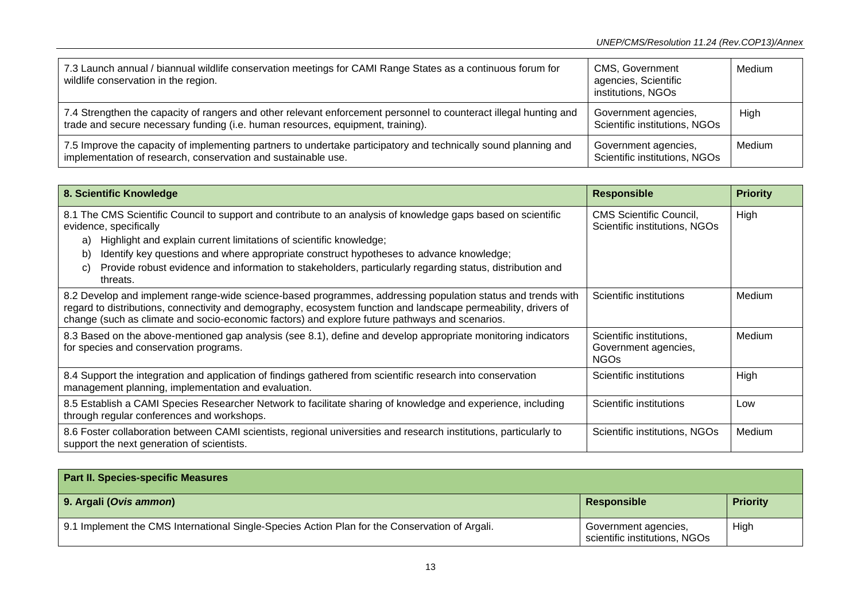| 7.3 Launch annual / biannual wildlife conservation meetings for CAMI Range States as a continuous forum for<br>wildlife conservation in the region.                                                  | CMS, Government<br>agencies, Scientific<br>institutions, NGOs | Medium |
|------------------------------------------------------------------------------------------------------------------------------------------------------------------------------------------------------|---------------------------------------------------------------|--------|
| 7.4 Strengthen the capacity of rangers and other relevant enforcement personnel to counteract illegal hunting and<br>trade and secure necessary funding (i.e. human resources, equipment, training). | Government agencies,<br>Scientific institutions, NGOs         | High   |
| 7.5 Improve the capacity of implementing partners to undertake participatory and technically sound planning and<br>implementation of research, conservation and sustainable use.                     | Government agencies,<br>Scientific institutions, NGOs         | Medium |

| 8. Scientific Knowledge                                                                                                                                                                                                                                                                                                                                                                                                                            | <b>Responsible</b>                                              | <b>Priority</b> |
|----------------------------------------------------------------------------------------------------------------------------------------------------------------------------------------------------------------------------------------------------------------------------------------------------------------------------------------------------------------------------------------------------------------------------------------------------|-----------------------------------------------------------------|-----------------|
| 8.1 The CMS Scientific Council to support and contribute to an analysis of knowledge gaps based on scientific<br>evidence, specifically<br>Highlight and explain current limitations of scientific knowledge;<br>a)<br>Identify key questions and where appropriate construct hypotheses to advance knowledge;<br>b)<br>Provide robust evidence and information to stakeholders, particularly regarding status, distribution and<br>C)<br>threats. | <b>CMS Scientific Council,</b><br>Scientific institutions, NGOs | High            |
| 8.2 Develop and implement range-wide science-based programmes, addressing population status and trends with<br>regard to distributions, connectivity and demography, ecosystem function and landscape permeability, drivers of<br>change (such as climate and socio-economic factors) and explore future pathways and scenarios.                                                                                                                   | Scientific institutions                                         | Medium          |
| 8.3 Based on the above-mentioned gap analysis (see 8.1), define and develop appropriate monitoring indicators<br>for species and conservation programs.                                                                                                                                                                                                                                                                                            | Scientific institutions,<br>Government agencies,<br><b>NGOs</b> | Medium          |
| 8.4 Support the integration and application of findings gathered from scientific research into conservation<br>management planning, implementation and evaluation.                                                                                                                                                                                                                                                                                 | Scientific institutions                                         | High            |
| 8.5 Establish a CAMI Species Researcher Network to facilitate sharing of knowledge and experience, including<br>through regular conferences and workshops.                                                                                                                                                                                                                                                                                         | Scientific institutions                                         | Low             |
| 8.6 Foster collaboration between CAMI scientists, regional universities and research institutions, particularly to<br>support the next generation of scientists.                                                                                                                                                                                                                                                                                   | Scientific institutions, NGOs                                   | Medium          |

| <b>Part II. Species-specific Measures</b>                                                      |                                                       |                 |
|------------------------------------------------------------------------------------------------|-------------------------------------------------------|-----------------|
| 9. Argali (Ovis ammon)                                                                         | Responsible                                           | <b>Priority</b> |
| 9.1 Implement the CMS International Single-Species Action Plan for the Conservation of Argali. | Government agencies,<br>scientific institutions, NGOs | High            |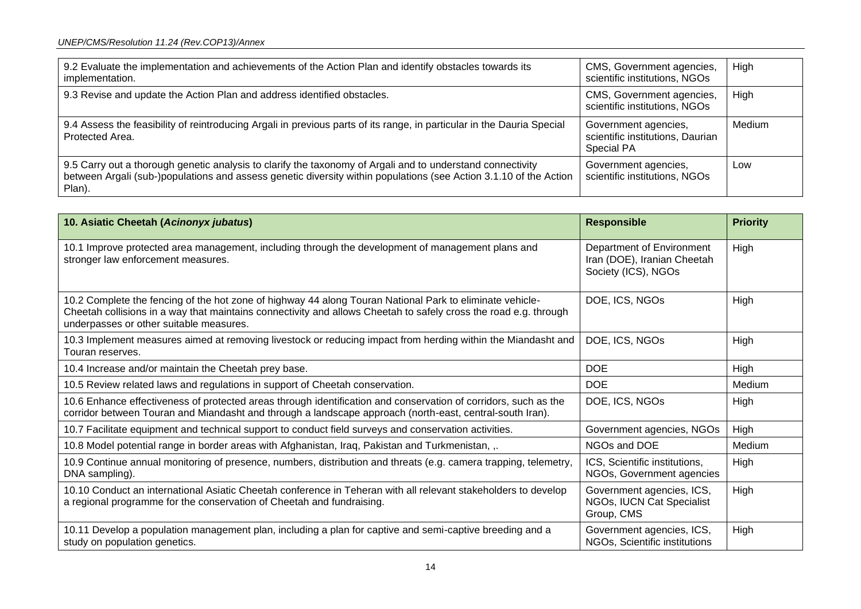| 9.2 Evaluate the implementation and achievements of the Action Plan and identify obstacles towards its<br>implementation.                                                                                                                 | CMS, Government agencies,<br>scientific institutions, NGOs                    | High   |
|-------------------------------------------------------------------------------------------------------------------------------------------------------------------------------------------------------------------------------------------|-------------------------------------------------------------------------------|--------|
| 9.3 Revise and update the Action Plan and address identified obstacles.                                                                                                                                                                   | CMS, Government agencies,<br>scientific institutions, NGOs                    | High   |
| 9.4 Assess the feasibility of reintroducing Argali in previous parts of its range, in particular in the Dauria Special<br>Protected Area.                                                                                                 | Government agencies,<br>scientific institutions, Daurian<br><b>Special PA</b> | Medium |
| 9.5 Carry out a thorough genetic analysis to clarify the taxonomy of Argali and to understand connectivity<br>between Argali (sub-)populations and assess genetic diversity within populations (see Action 3.1.10 of the Action<br>Plan). | Government agencies,<br>scientific institutions, NGOs                         | Low    |

| 10. Asiatic Cheetah (Acinonyx jubatus)                                                                                                                                                                                                                                  | <b>Responsible</b>                                                              | <b>Priority</b> |
|-------------------------------------------------------------------------------------------------------------------------------------------------------------------------------------------------------------------------------------------------------------------------|---------------------------------------------------------------------------------|-----------------|
| 10.1 Improve protected area management, including through the development of management plans and<br>stronger law enforcement measures.                                                                                                                                 | Department of Environment<br>Iran (DOE), Iranian Cheetah<br>Society (ICS), NGOs | High            |
| 10.2 Complete the fencing of the hot zone of highway 44 along Touran National Park to eliminate vehicle-<br>Cheetah collisions in a way that maintains connectivity and allows Cheetah to safely cross the road e.g. through<br>underpasses or other suitable measures. | DOE, ICS, NGOs                                                                  | High            |
| 10.3 Implement measures aimed at removing livestock or reducing impact from herding within the Miandasht and<br>Touran reserves.                                                                                                                                        | DOE, ICS, NGOs                                                                  | High            |
| 10.4 Increase and/or maintain the Cheetah prey base.                                                                                                                                                                                                                    | <b>DOE</b>                                                                      | High            |
| 10.5 Review related laws and regulations in support of Cheetah conservation.                                                                                                                                                                                            | <b>DOE</b>                                                                      | Medium          |
| 10.6 Enhance effectiveness of protected areas through identification and conservation of corridors, such as the<br>corridor between Touran and Miandasht and through a landscape approach (north-east, central-south Iran).                                             | DOE, ICS, NGOs                                                                  | High            |
| 10.7 Facilitate equipment and technical support to conduct field surveys and conservation activities.                                                                                                                                                                   | Government agencies, NGOs                                                       | High            |
| 10.8 Model potential range in border areas with Afghanistan, Iraq, Pakistan and Turkmenistan, ,.                                                                                                                                                                        | NGOs and DOE                                                                    | Medium          |
| 10.9 Continue annual monitoring of presence, numbers, distribution and threats (e.g. camera trapping, telemetry,<br>DNA sampling).                                                                                                                                      | ICS, Scientific institutions,<br>NGOs, Government agencies                      | High            |
| 10.10 Conduct an international Asiatic Cheetah conference in Teheran with all relevant stakeholders to develop<br>a regional programme for the conservation of Cheetah and fundraising.                                                                                 | Government agencies, ICS,<br>NGOs, IUCN Cat Specialist<br>Group, CMS            | High            |
| 10.11 Develop a population management plan, including a plan for captive and semi-captive breeding and a<br>study on population genetics.                                                                                                                               | Government agencies, ICS,<br>NGOs, Scientific institutions                      | High            |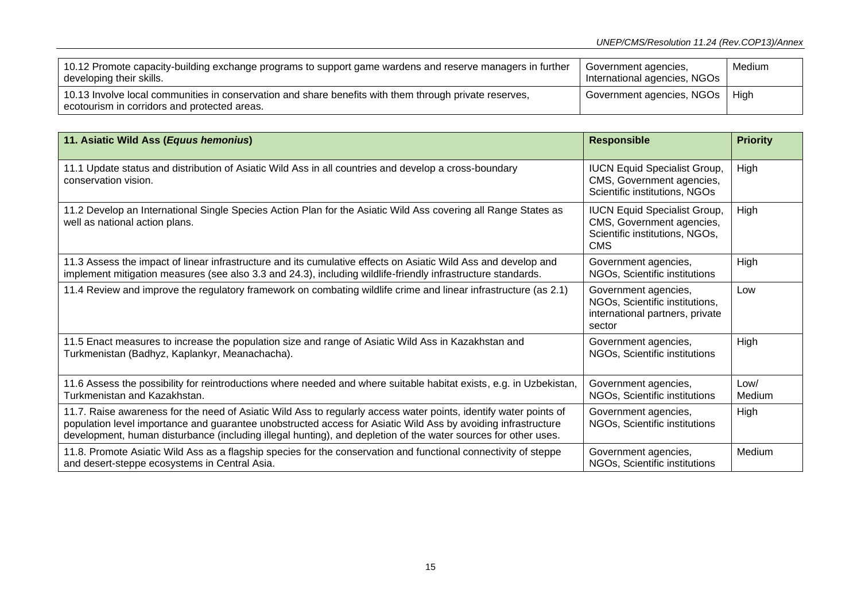| 10.12 Promote capacity-building exchange programs to support game wardens and reserve managers in further<br>developing their skills.                  | Government agencies,<br>International agencies, NGOs | Medium |
|--------------------------------------------------------------------------------------------------------------------------------------------------------|------------------------------------------------------|--------|
| 10.13 Involve local communities in conservation and share benefits with them through private reserves,<br>ecotourism in corridors and protected areas. | Government agencies, NGOs   High                     |        |

| 11. Asiatic Wild Ass (Equus hemonius)                                                                                                                                                                                                                                                                                                                | <b>Responsible</b>                                                                                               | <b>Priority</b> |
|------------------------------------------------------------------------------------------------------------------------------------------------------------------------------------------------------------------------------------------------------------------------------------------------------------------------------------------------------|------------------------------------------------------------------------------------------------------------------|-----------------|
| 11.1 Update status and distribution of Asiatic Wild Ass in all countries and develop a cross-boundary<br>conservation vision.                                                                                                                                                                                                                        | <b>IUCN Equid Specialist Group,</b><br>CMS, Government agencies,<br>Scientific institutions, NGOs                | High            |
| 11.2 Develop an International Single Species Action Plan for the Asiatic Wild Ass covering all Range States as<br>well as national action plans.                                                                                                                                                                                                     | <b>IUCN Equid Specialist Group,</b><br>CMS, Government agencies,<br>Scientific institutions, NGOs,<br><b>CMS</b> | High            |
| 11.3 Assess the impact of linear infrastructure and its cumulative effects on Asiatic Wild Ass and develop and<br>implement mitigation measures (see also 3.3 and 24.3), including wildlife-friendly infrastructure standards.                                                                                                                       | Government agencies,<br>NGOs, Scientific institutions                                                            | High            |
| 11.4 Review and improve the regulatory framework on combating wildlife crime and linear infrastructure (as 2.1)                                                                                                                                                                                                                                      | Government agencies,<br>NGOs, Scientific institutions,<br>international partners, private<br>sector              | Low             |
| 11.5 Enact measures to increase the population size and range of Asiatic Wild Ass in Kazakhstan and<br>Turkmenistan (Badhyz, Kaplankyr, Meanachacha).                                                                                                                                                                                                | Government agencies,<br>NGOs, Scientific institutions                                                            | High            |
| 11.6 Assess the possibility for reintroductions where needed and where suitable habitat exists, e.g. in Uzbekistan,<br>Turkmenistan and Kazakhstan.                                                                                                                                                                                                  | Government agencies,<br>NGOs, Scientific institutions                                                            | Low/<br>Medium  |
| 11.7. Raise awareness for the need of Asiatic Wild Ass to regularly access water points, identify water points of<br>population level importance and guarantee unobstructed access for Asiatic Wild Ass by avoiding infrastructure<br>development, human disturbance (including illegal hunting), and depletion of the water sources for other uses. | Government agencies,<br>NGOs, Scientific institutions                                                            | High            |
| 11.8. Promote Asiatic Wild Ass as a flagship species for the conservation and functional connectivity of steppe<br>and desert-steppe ecosystems in Central Asia.                                                                                                                                                                                     | Government agencies,<br>NGOs, Scientific institutions                                                            | Medium          |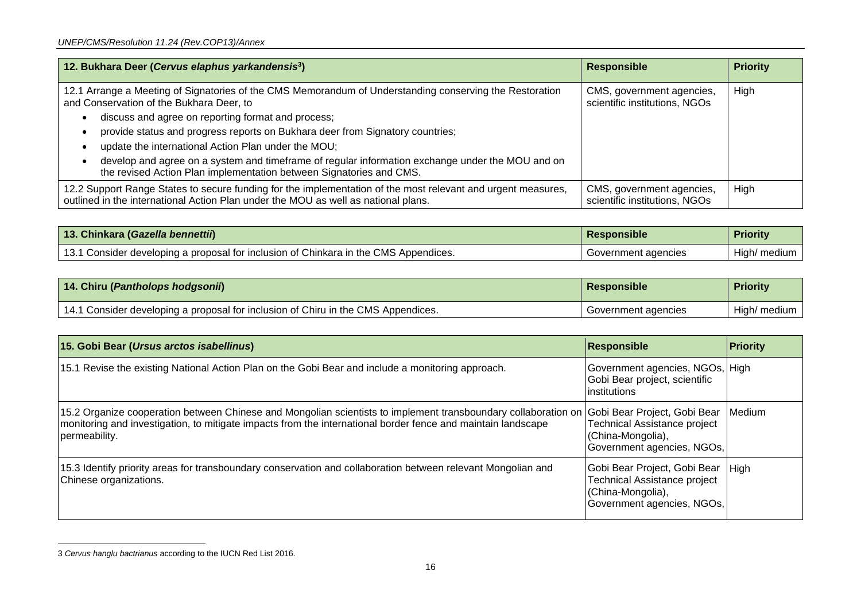| 12. Bukhara Deer (Cervus elaphus yarkandensis <sup>3</sup> )                                                                                                                                       | <b>Responsible</b>                                         | <b>Priority</b> |
|----------------------------------------------------------------------------------------------------------------------------------------------------------------------------------------------------|------------------------------------------------------------|-----------------|
| 12.1 Arrange a Meeting of Signatories of the CMS Memorandum of Understanding conserving the Restoration<br>and Conservation of the Bukhara Deer, to                                                | CMS, government agencies,<br>scientific institutions, NGOs | High            |
| discuss and agree on reporting format and process;                                                                                                                                                 |                                                            |                 |
| provide status and progress reports on Bukhara deer from Signatory countries;                                                                                                                      |                                                            |                 |
| update the international Action Plan under the MOU;                                                                                                                                                |                                                            |                 |
| develop and agree on a system and timeframe of regular information exchange under the MOU and on<br>the revised Action Plan implementation between Signatories and CMS.                            |                                                            |                 |
| 12.2 Support Range States to secure funding for the implementation of the most relevant and urgent measures,<br>outlined in the international Action Plan under the MOU as well as national plans. | CMS, government agencies,<br>scientific institutions, NGOs | High            |

| 13. Chinkara (Gazella bennettii)                                                     | Responsible         | <b>Priority</b> |
|--------------------------------------------------------------------------------------|---------------------|-----------------|
| 13.1 Consider developing a proposal for inclusion of Chinkara in the CMS Appendices. | Government agencies | High/ medium    |

| 14. Chiru (Pantholops hodgsonii)                                                  | Responsible         | <b>Priority</b> |
|-----------------------------------------------------------------------------------|---------------------|-----------------|
| 14.1 Consider developing a proposal for inclusion of Chiru in the CMS Appendices. | Government agencies | High/ medium    |

| 15. Gobi Bear (Ursus arctos isabellinus)                                                                                                                                                                                                                                             | Responsible                                                                                                          | <b>Priority</b> |
|--------------------------------------------------------------------------------------------------------------------------------------------------------------------------------------------------------------------------------------------------------------------------------------|----------------------------------------------------------------------------------------------------------------------|-----------------|
| 15.1 Revise the existing National Action Plan on the Gobi Bear and include a monitoring approach.                                                                                                                                                                                    | Government agencies, NGOs, High<br>Gobi Bear project, scientific<br>institutions                                     |                 |
| 15.2 Organize cooperation between Chinese and Mongolian scientists to implement transboundary collaboration on Gobi Bear Project, Gobi Bear  Medium<br>monitoring and investigation, to mitigate impacts from the international border fence and maintain landscape<br>permeability. | <b>Technical Assistance project</b><br>(China-Mongolia),<br>Government agencies, NGOs,                               |                 |
| 15.3 Identify priority areas for transboundary conservation and collaboration between relevant Mongolian and<br>Chinese organizations.                                                                                                                                               | Gobi Bear Project, Gobi Bear High<br>Technical Assistance project<br>(China-Mongolia),<br>Government agencies, NGOs, |                 |

<sup>3</sup> *Cervus hanglu bactrianus* according to the IUCN Red List 2016.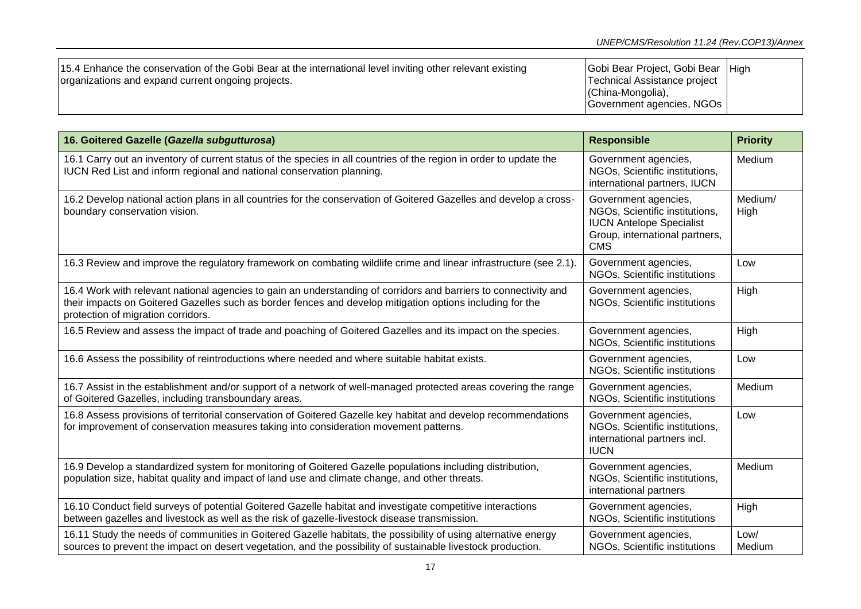| 15.4 Enhance the conservation of the Gobi Bear at the international level inviting other relevant existing<br>organizations and expand current ongoing projects. | Gobi Bear Project, Gobi Bear High<br>Technical Assistance project<br>(China-Mongolia),<br>Government agencies, NGOs |  |
|------------------------------------------------------------------------------------------------------------------------------------------------------------------|---------------------------------------------------------------------------------------------------------------------|--|
|------------------------------------------------------------------------------------------------------------------------------------------------------------------|---------------------------------------------------------------------------------------------------------------------|--|

| 16. Goitered Gazelle (Gazella subgutturosa)                                                                                                                                                                                                                         | <b>Responsible</b>                                                                                                                        | <b>Priority</b> |
|---------------------------------------------------------------------------------------------------------------------------------------------------------------------------------------------------------------------------------------------------------------------|-------------------------------------------------------------------------------------------------------------------------------------------|-----------------|
| 16.1 Carry out an inventory of current status of the species in all countries of the region in order to update the<br>IUCN Red List and inform regional and national conservation planning.                                                                         | Government agencies,<br>NGOs, Scientific institutions,<br>international partners, IUCN                                                    | Medium          |
| 16.2 Develop national action plans in all countries for the conservation of Goitered Gazelles and develop a cross-<br>boundary conservation vision.                                                                                                                 | Government agencies,<br>NGOs, Scientific institutions,<br><b>IUCN Antelope Specialist</b><br>Group, international partners,<br><b>CMS</b> | Medium/<br>High |
| 16.3 Review and improve the regulatory framework on combating wildlife crime and linear infrastructure (see 2.1).                                                                                                                                                   | Government agencies,<br>NGOs, Scientific institutions                                                                                     | Low             |
| 16.4 Work with relevant national agencies to gain an understanding of corridors and barriers to connectivity and<br>their impacts on Goitered Gazelles such as border fences and develop mitigation options including for the<br>protection of migration corridors. | Government agencies,<br>NGOs, Scientific institutions                                                                                     | High            |
| 16.5 Review and assess the impact of trade and poaching of Goitered Gazelles and its impact on the species.                                                                                                                                                         | Government agencies,<br>NGOs, Scientific institutions                                                                                     | High            |
| 16.6 Assess the possibility of reintroductions where needed and where suitable habitat exists.                                                                                                                                                                      | Government agencies,<br>NGOs, Scientific institutions                                                                                     | Low             |
| 16.7 Assist in the establishment and/or support of a network of well-managed protected areas covering the range<br>of Goitered Gazelles, including transboundary areas.                                                                                             | Government agencies,<br>NGOs, Scientific institutions                                                                                     | Medium          |
| 16.8 Assess provisions of territorial conservation of Goitered Gazelle key habitat and develop recommendations<br>for improvement of conservation measures taking into consideration movement patterns.                                                             | Government agencies,<br>NGOs, Scientific institutions,<br>international partners incl.<br><b>IUCN</b>                                     | Low             |
| 16.9 Develop a standardized system for monitoring of Goitered Gazelle populations including distribution,<br>population size, habitat quality and impact of land use and climate change, and other threats.                                                         | Government agencies,<br>NGOs, Scientific institutions,<br>international partners                                                          | Medium          |
| 16.10 Conduct field surveys of potential Goitered Gazelle habitat and investigate competitive interactions<br>between gazelles and livestock as well as the risk of gazelle-livestock disease transmission.                                                         | Government agencies,<br>NGOs, Scientific institutions                                                                                     | High            |
| 16.11 Study the needs of communities in Goitered Gazelle habitats, the possibility of using alternative energy<br>sources to prevent the impact on desert vegetation, and the possibility of sustainable livestock production.                                      | Government agencies,<br>NGOs, Scientific institutions                                                                                     | Low/<br>Medium  |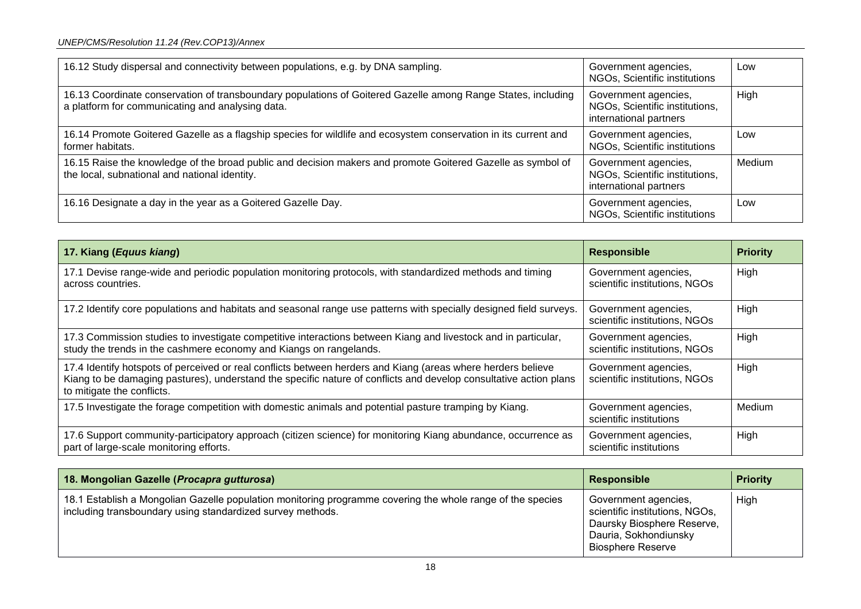| 16.12 Study dispersal and connectivity between populations, e.g. by DNA sampling.                                                                                | Government agencies,<br>NGOs, Scientific institutions                            | Low         |
|------------------------------------------------------------------------------------------------------------------------------------------------------------------|----------------------------------------------------------------------------------|-------------|
| 16.13 Coordinate conservation of transboundary populations of Goitered Gazelle among Range States, including<br>a platform for communicating and analysing data. | Government agencies,<br>NGOs, Scientific institutions,<br>international partners | <b>High</b> |
| 16.14 Promote Goitered Gazelle as a flagship species for wildlife and ecosystem conservation in its current and<br>former habitats.                              | Government agencies,<br>NGOs, Scientific institutions                            | Low         |
| 16.15 Raise the knowledge of the broad public and decision makers and promote Goitered Gazelle as symbol of<br>the local, subnational and national identity.     | Government agencies,<br>NGOs, Scientific institutions,<br>international partners | Medium      |
| 16.16 Designate a day in the year as a Goitered Gazelle Day.                                                                                                     | Government agencies,<br>NGOs, Scientific institutions                            | Low         |

| 17. Kiang (Equus kiang)                                                                                                                                                                                                                                         | <b>Responsible</b>                                    | <b>Priority</b> |
|-----------------------------------------------------------------------------------------------------------------------------------------------------------------------------------------------------------------------------------------------------------------|-------------------------------------------------------|-----------------|
| 17.1 Devise range-wide and periodic population monitoring protocols, with standardized methods and timing<br>across countries.                                                                                                                                  | Government agencies,<br>scientific institutions, NGOs | High            |
| 17.2 Identify core populations and habitats and seasonal range use patterns with specially designed field surveys.                                                                                                                                              | Government agencies,<br>scientific institutions, NGOs | High            |
| 17.3 Commission studies to investigate competitive interactions between Kiang and livestock and in particular,<br>study the trends in the cashmere economy and Kiangs on rangelands.                                                                            | Government agencies,<br>scientific institutions, NGOs | High            |
| 17.4 Identify hotspots of perceived or real conflicts between herders and Kiang (areas where herders believe<br>Kiang to be damaging pastures), understand the specific nature of conflicts and develop consultative action plans<br>to mitigate the conflicts. | Government agencies,<br>scientific institutions, NGOs | High            |
| 17.5 Investigate the forage competition with domestic animals and potential pasture tramping by Kiang.                                                                                                                                                          | Government agencies,<br>scientific institutions       | Medium          |
| 17.6 Support community-participatory approach (citizen science) for monitoring Kiang abundance, occurrence as<br>part of large-scale monitoring efforts.                                                                                                        | Government agencies,<br>scientific institutions       | High            |

| 18. Mongolian Gazelle (Procapra gutturosa)                                                                                                                               | <b>Responsible</b>                                                                                                                        | <b>Priority</b> |
|--------------------------------------------------------------------------------------------------------------------------------------------------------------------------|-------------------------------------------------------------------------------------------------------------------------------------------|-----------------|
| 18.1 Establish a Mongolian Gazelle population monitoring programme covering the whole range of the species<br>including transboundary using standardized survey methods. | Government agencies,<br>scientific institutions, NGOs,<br>Daursky Biosphere Reserve,<br>Dauria, Sokhondiunsky<br><b>Biosphere Reserve</b> | High            |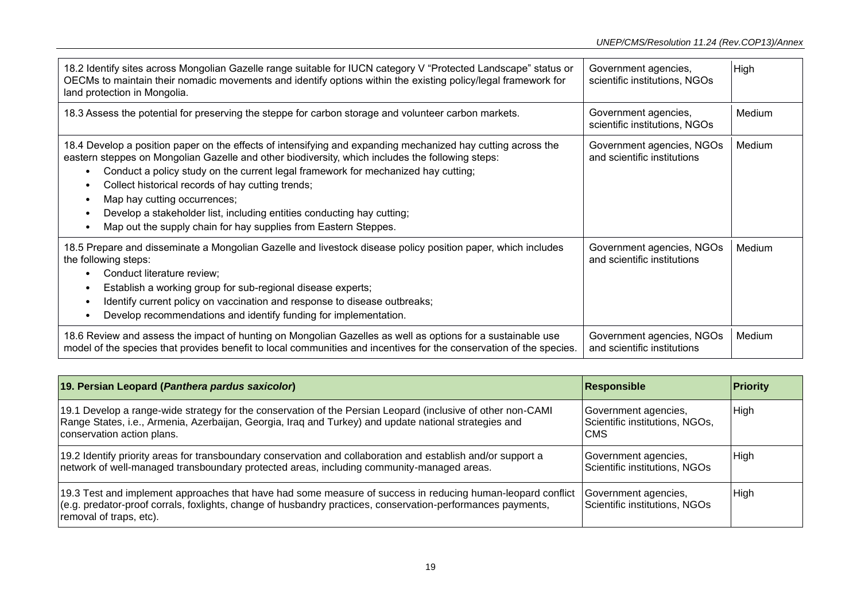| 18.2 Identify sites across Mongolian Gazelle range suitable for IUCN category V "Protected Landscape" status or<br>OECMs to maintain their nomadic movements and identify options within the existing policy/legal framework for<br>land protection in Mongolia.                                                                                                                                                                                                                                                                        | Government agencies,<br>scientific institutions, NGOs    | High   |
|-----------------------------------------------------------------------------------------------------------------------------------------------------------------------------------------------------------------------------------------------------------------------------------------------------------------------------------------------------------------------------------------------------------------------------------------------------------------------------------------------------------------------------------------|----------------------------------------------------------|--------|
| 18.3 Assess the potential for preserving the steppe for carbon storage and volunteer carbon markets.                                                                                                                                                                                                                                                                                                                                                                                                                                    | Government agencies,<br>scientific institutions, NGOs    | Medium |
| 18.4 Develop a position paper on the effects of intensifying and expanding mechanized hay cutting across the<br>eastern steppes on Mongolian Gazelle and other biodiversity, which includes the following steps:<br>Conduct a policy study on the current legal framework for mechanized hay cutting;<br>Collect historical records of hay cutting trends;<br>Map hay cutting occurrences;<br>Develop a stakeholder list, including entities conducting hay cutting;<br>Map out the supply chain for hay supplies from Eastern Steppes. | Government agencies, NGOs<br>and scientific institutions | Medium |
| 18.5 Prepare and disseminate a Mongolian Gazelle and livestock disease policy position paper, which includes<br>the following steps:<br>Conduct literature review;<br>Establish a working group for sub-regional disease experts;<br>Identify current policy on vaccination and response to disease outbreaks;<br>Develop recommendations and identify funding for implementation.                                                                                                                                                      | Government agencies, NGOs<br>and scientific institutions | Medium |
| 18.6 Review and assess the impact of hunting on Mongolian Gazelles as well as options for a sustainable use<br>model of the species that provides benefit to local communities and incentives for the conservation of the species.                                                                                                                                                                                                                                                                                                      | Government agencies, NGOs<br>and scientific institutions | Medium |

| 19. Persian Leopard (Panthera pardus saxicolor)                                                                                                                                                                                                       | <b>Responsible</b>                                                   | <b>Priority</b> |
|-------------------------------------------------------------------------------------------------------------------------------------------------------------------------------------------------------------------------------------------------------|----------------------------------------------------------------------|-----------------|
| 19.1 Develop a range-wide strategy for the conservation of the Persian Leopard (inclusive of other non-CAMI<br>Range States, i.e., Armenia, Azerbaijan, Georgia, Iraq and Turkey) and update national strategies and<br>conservation action plans.    | Government agencies,<br>Scientific institutions, NGOs,<br><b>CMS</b> | High            |
| 19.2 Identify priority areas for transboundary conservation and collaboration and establish and/or support a<br>network of well-managed transboundary protected areas, including community-managed areas.                                             | Government agencies,<br>Scientific institutions, NGOs                | High            |
| 19.3 Test and implement approaches that have had some measure of success in reducing human-leopard conflict<br>(e.g. predator-proof corrals, foxlights, change of husbandry practices, conservation-performances payments,<br>removal of traps, etc). | Government agencies,<br>Scientific institutions, NGOs                | High            |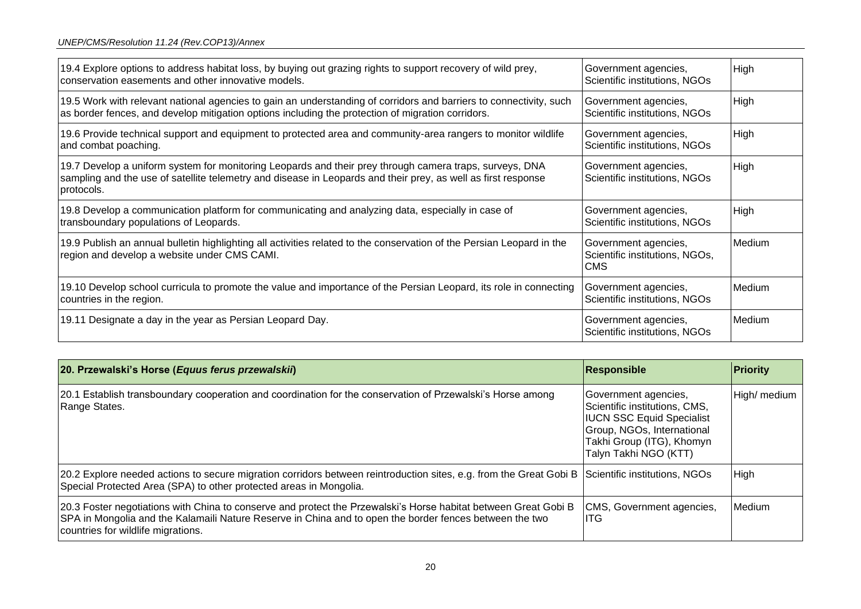| 19.4 Explore options to address habitat loss, by buying out grazing rights to support recovery of wild prey,<br>conservation easements and other innovative models.                                                                    | Government agencies,<br>Scientific institutions, NGOs                | High   |
|----------------------------------------------------------------------------------------------------------------------------------------------------------------------------------------------------------------------------------------|----------------------------------------------------------------------|--------|
| 19.5 Work with relevant national agencies to gain an understanding of corridors and barriers to connectivity, such<br>as border fences, and develop mitigation options including the protection of migration corridors.                | Government agencies,<br>Scientific institutions, NGOs                | High   |
| 19.6 Provide technical support and equipment to protected area and community-area rangers to monitor wildlife<br>and combat poaching.                                                                                                  | Government agencies,<br>Scientific institutions, NGOs                | High   |
| 19.7 Develop a uniform system for monitoring Leopards and their prey through camera traps, surveys, DNA<br>sampling and the use of satellite telemetry and disease in Leopards and their prey, as well as first response<br>protocols. | Government agencies,<br>Scientific institutions, NGOs                | High   |
| 19.8 Develop a communication platform for communicating and analyzing data, especially in case of<br>transboundary populations of Leopards.                                                                                            | Government agencies,<br>Scientific institutions, NGOs                | High   |
| 19.9 Publish an annual bulletin highlighting all activities related to the conservation of the Persian Leopard in the<br>region and develop a website under CMS CAMI.                                                                  | Government agencies,<br>Scientific institutions, NGOs,<br><b>CMS</b> | Medium |
| 19.10 Develop school curricula to promote the value and importance of the Persian Leopard, its role in connecting<br>countries in the region.                                                                                          | Government agencies,<br>Scientific institutions, NGOs                | Medium |
| 19.11 Designate a day in the year as Persian Leopard Day.                                                                                                                                                                              | Government agencies,<br>Scientific institutions, NGOs                | Medium |

| 20. Przewalski's Horse (Equus ferus przewalskii)                                                                                                                                                                                                                  | Responsible                                                                                                                                                                   | <b>Priority</b> |
|-------------------------------------------------------------------------------------------------------------------------------------------------------------------------------------------------------------------------------------------------------------------|-------------------------------------------------------------------------------------------------------------------------------------------------------------------------------|-----------------|
| 20.1 Establish transboundary cooperation and coordination for the conservation of Przewalski's Horse among<br>Range States.                                                                                                                                       | Government agencies,<br>Scientific institutions, CMS,<br><b>IUCN SSC Equid Specialist</b><br>Group, NGOs, International<br>Takhi Group (ITG), Khomyn<br>Talyn Takhi NGO (KTT) | High/ medium    |
| 20.2 Explore needed actions to secure migration corridors between reintroduction sites, e.g. from the Great Gobi B<br>Special Protected Area (SPA) to other protected areas in Mongolia.                                                                          | Scientific institutions, NGOs                                                                                                                                                 | High            |
| [20.3 Foster negotiations with China to conserve and protect the Przewalski's Horse habitat between Great Gobi B<br>SPA in Mongolia and the Kalamaili Nature Reserve in China and to open the border fences between the two<br>countries for wildlife migrations. | CMS, Government agencies,<br>IITG.                                                                                                                                            | Medium          |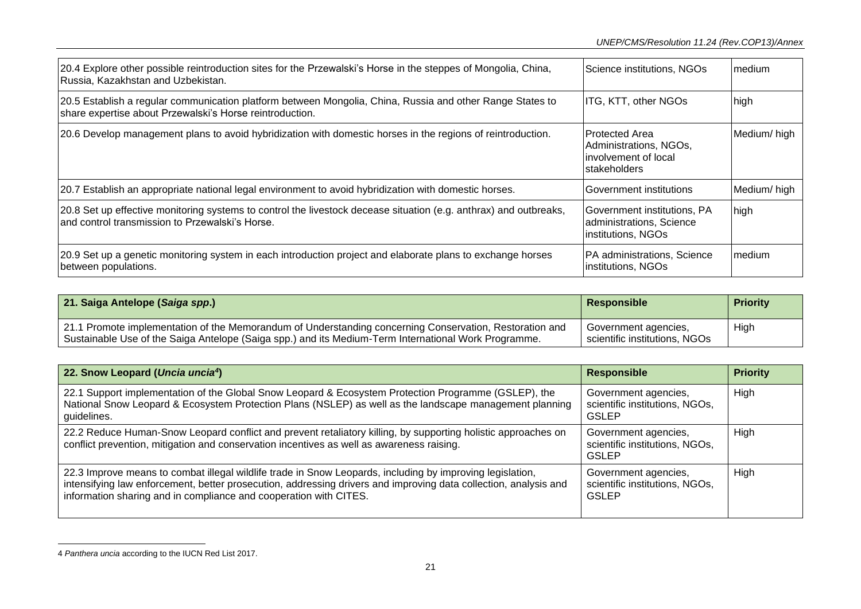| 20.4 Explore other possible reintroduction sites for the Przewalski's Horse in the steppes of Mongolia, China,<br>Russia, Kazakhstan and Uzbekistan.                   | Science institutions, NGOs                                                          | <b>Imedium</b> |
|------------------------------------------------------------------------------------------------------------------------------------------------------------------------|-------------------------------------------------------------------------------------|----------------|
| 20.5 Establish a regular communication platform between Mongolia, China, Russia and other Range States to<br>share expertise about Przewalski's Horse reintroduction.  | ITG, KTT, other NGOs                                                                | high           |
| 20.6 Develop management plans to avoid hybridization with domestic horses in the regions of reintroduction.                                                            | l Protected Area<br>Administrations, NGOs,<br>linvolvement of local<br>stakeholders | Medium/high    |
| 20.7 Establish an appropriate national legal environment to avoid hybridization with domestic horses.                                                                  | Government institutions                                                             | Medium/high    |
| [20.8 Set up effective monitoring systems to control the livestock decease situation (e.g. anthrax) and outbreaks,<br>land control transmission to Przewalski's Horse. | Government institutions, PA<br>administrations, Science<br>institutions, NGOs       | high           |
| 20.9 Set up a genetic monitoring system in each introduction project and elaborate plans to exchange horses<br>between populations.                                    | <b>PA</b> administrations, Science<br>institutions, NGOs                            | Imedium        |

| 21. Saiga Antelope (Saiga spp.)                                                                                                                                                                                 | Responsible                                           | <b>Priority</b> |
|-----------------------------------------------------------------------------------------------------------------------------------------------------------------------------------------------------------------|-------------------------------------------------------|-----------------|
| 21.1 Promote implementation of the Memorandum of Understanding concerning Conservation, Restoration and<br>Sustainable Use of the Saiga Antelope (Saiga spp.) and its Medium-Term International Work Programme. | Government agencies,<br>scientific institutions. NGOs | High            |

| 22. Snow Leopard (Uncia uncia <sup>4</sup> )                                                                                                                                                                                                                                                       | <b>Responsible</b>                                                     | <b>Priority</b> |
|----------------------------------------------------------------------------------------------------------------------------------------------------------------------------------------------------------------------------------------------------------------------------------------------------|------------------------------------------------------------------------|-----------------|
| 22.1 Support implementation of the Global Snow Leopard & Ecosystem Protection Programme (GSLEP), the<br>National Snow Leopard & Ecosystem Protection Plans (NSLEP) as well as the landscape management planning<br>guidelines.                                                                     | Government agencies,<br>scientific institutions, NGOs,<br><b>GSLEP</b> | High            |
| 22.2 Reduce Human-Snow Leopard conflict and prevent retaliatory killing, by supporting holistic approaches on<br>conflict prevention, mitigation and conservation incentives as well as awareness raising.                                                                                         | Government agencies,<br>scientific institutions, NGOs,<br>GSLEP        | High            |
| 22.3 Improve means to combat illegal wildlife trade in Snow Leopards, including by improving legislation,<br>intensifying law enforcement, better prosecution, addressing drivers and improving data collection, analysis and<br>information sharing and in compliance and cooperation with CITES. | Government agencies,<br>scientific institutions, NGOs,<br><b>GSLEP</b> | High            |

<sup>4</sup> *Panthera uncia* according to the IUCN Red List 2017.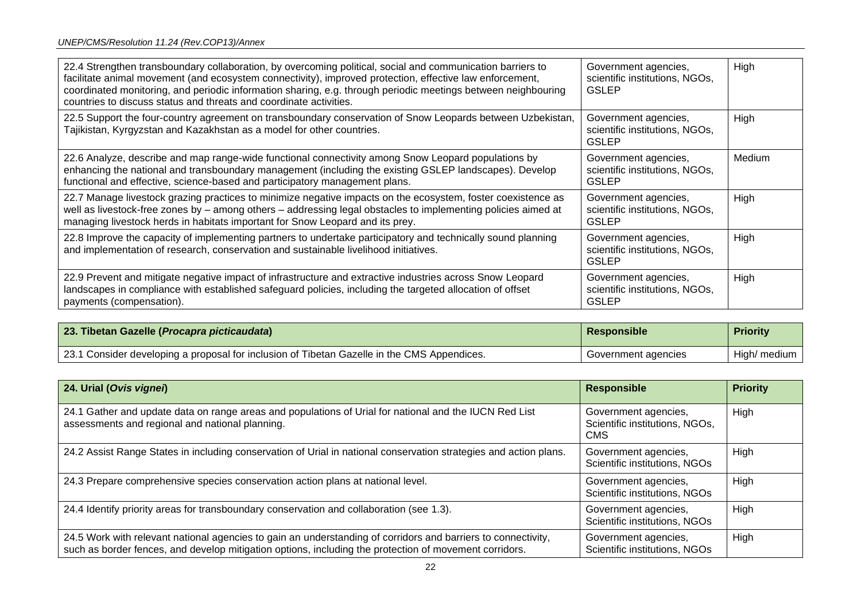| 22.4 Strengthen transboundary collaboration, by overcoming political, social and communication barriers to<br>facilitate animal movement (and ecosystem connectivity), improved protection, effective law enforcement,<br>coordinated monitoring, and periodic information sharing, e.g. through periodic meetings between neighbouring<br>countries to discuss status and threats and coordinate activities. | Government agencies,<br>scientific institutions, NGOs,<br><b>GSLEP</b> | High   |
|---------------------------------------------------------------------------------------------------------------------------------------------------------------------------------------------------------------------------------------------------------------------------------------------------------------------------------------------------------------------------------------------------------------|------------------------------------------------------------------------|--------|
| 22.5 Support the four-country agreement on transboundary conservation of Snow Leopards between Uzbekistan,<br>Tajikistan, Kyrgyzstan and Kazakhstan as a model for other countries.                                                                                                                                                                                                                           | Government agencies,<br>scientific institutions, NGOs,<br><b>GSLEP</b> | High   |
| 22.6 Analyze, describe and map range-wide functional connectivity among Snow Leopard populations by<br>enhancing the national and transboundary management (including the existing GSLEP landscapes). Develop<br>functional and effective, science-based and participatory management plans.                                                                                                                  | Government agencies,<br>scientific institutions, NGOs,<br><b>GSLEP</b> | Medium |
| 22.7 Manage livestock grazing practices to minimize negative impacts on the ecosystem, foster coexistence as<br>well as livestock-free zones by - among others - addressing legal obstacles to implementing policies aimed at<br>managing livestock herds in habitats important for Snow Leopard and its prey.                                                                                                | Government agencies,<br>scientific institutions, NGOs,<br><b>GSLEP</b> | High   |
| 22.8 Improve the capacity of implementing partners to undertake participatory and technically sound planning<br>and implementation of research, conservation and sustainable livelihood initiatives.                                                                                                                                                                                                          | Government agencies,<br>scientific institutions, NGOs,<br><b>GSLEP</b> | High   |
| 22.9 Prevent and mitigate negative impact of infrastructure and extractive industries across Snow Leopard<br>landscapes in compliance with established safeguard policies, including the targeted allocation of offset<br>payments (compensation).                                                                                                                                                            | Government agencies,<br>scientific institutions, NGOs,<br><b>GSLEP</b> | High   |

| 23. Tibetan Gazelle (Procapra picticaudata)                                                 | <b>Responsible</b>  | <b>Priority</b> |
|---------------------------------------------------------------------------------------------|---------------------|-----------------|
| 23.1 Consider developing a proposal for inclusion of Tibetan Gazelle in the CMS Appendices. | Government agencies | High/ medium    |

| 24. Urial (Ovis vignei)                                                                                                                                                                                                 | <b>Responsible</b>                                                   | <b>Priority</b> |
|-------------------------------------------------------------------------------------------------------------------------------------------------------------------------------------------------------------------------|----------------------------------------------------------------------|-----------------|
| 24.1 Gather and update data on range areas and populations of Urial for national and the IUCN Red List<br>assessments and regional and national planning.                                                               | Government agencies,<br>Scientific institutions, NGOs,<br><b>CMS</b> | High            |
| 24.2 Assist Range States in including conservation of Urial in national conservation strategies and action plans.                                                                                                       | Government agencies,<br>Scientific institutions, NGOs                | High            |
| 24.3 Prepare comprehensive species conservation action plans at national level.                                                                                                                                         | Government agencies,<br>Scientific institutions, NGOs                | High            |
| 24.4 Identify priority areas for transboundary conservation and collaboration (see 1.3).                                                                                                                                | Government agencies,<br>Scientific institutions, NGOs                | High            |
| 24.5 Work with relevant national agencies to gain an understanding of corridors and barriers to connectivity,<br>such as border fences, and develop mitigation options, including the protection of movement corridors. | Government agencies,<br>Scientific institutions, NGOs                | High            |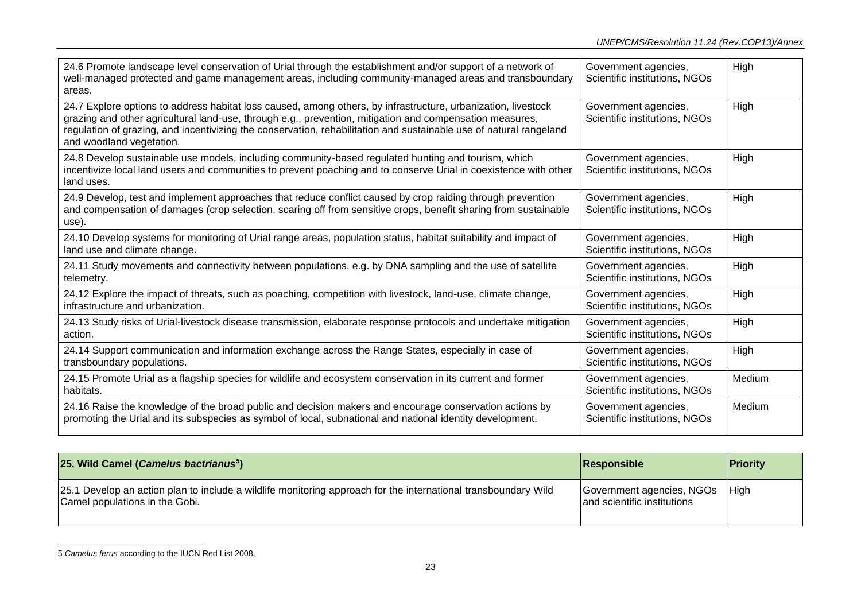| 24.6 Promote landscape level conservation of Urial through the establishment and/or support of a network of<br>well-managed protected and game management areas, including community-managed areas and transboundary<br>areas.                                                                                                                                              | Government agencies,<br>Scientific institutions, NGOs | High   |
|-----------------------------------------------------------------------------------------------------------------------------------------------------------------------------------------------------------------------------------------------------------------------------------------------------------------------------------------------------------------------------|-------------------------------------------------------|--------|
| 24.7 Explore options to address habitat loss caused, among others, by infrastructure, urbanization, livestock<br>grazing and other agricultural land-use, through e.g., prevention, mitigation and compensation measures,<br>regulation of grazing, and incentivizing the conservation, rehabilitation and sustainable use of natural rangeland<br>and woodland vegetation. | Government agencies,<br>Scientific institutions, NGOs | High   |
| 24.8 Develop sustainable use models, including community-based regulated hunting and tourism, which<br>incentivize local land users and communities to prevent poaching and to conserve Urial in coexistence with other<br>land uses.                                                                                                                                       | Government agencies,<br>Scientific institutions, NGOs | High   |
| 24.9 Develop, test and implement approaches that reduce conflict caused by crop raiding through prevention<br>and compensation of damages (crop selection, scaring off from sensitive crops, benefit sharing from sustainable<br>use).                                                                                                                                      | Government agencies,<br>Scientific institutions, NGOs | High   |
| 24.10 Develop systems for monitoring of Urial range areas, population status, habitat suitability and impact of<br>land use and climate change.                                                                                                                                                                                                                             | Government agencies,<br>Scientific institutions, NGOs | High   |
| 24.11 Study movements and connectivity between populations, e.g. by DNA sampling and the use of satellite<br>telemetry.                                                                                                                                                                                                                                                     | Government agencies,<br>Scientific institutions, NGOs | High   |
| 24.12 Explore the impact of threats, such as poaching, competition with livestock, land-use, climate change,<br>infrastructure and urbanization.                                                                                                                                                                                                                            | Government agencies,<br>Scientific institutions, NGOs | High   |
| 24.13 Study risks of Urial-livestock disease transmission, elaborate response protocols and undertake mitigation<br>action.                                                                                                                                                                                                                                                 | Government agencies,<br>Scientific institutions, NGOs | High   |
| 24.14 Support communication and information exchange across the Range States, especially in case of<br>transboundary populations.                                                                                                                                                                                                                                           | Government agencies,<br>Scientific institutions, NGOs | High   |
| 24.15 Promote Urial as a flagship species for wildlife and ecosystem conservation in its current and former<br>habitats.                                                                                                                                                                                                                                                    | Government agencies,<br>Scientific institutions, NGOs | Medium |
| 24.16 Raise the knowledge of the broad public and decision makers and encourage conservation actions by<br>promoting the Urial and its subspecies as symbol of local, subnational and national identity development.                                                                                                                                                        | Government agencies,<br>Scientific institutions, NGOs | Medium |

| 25. Wild Camel (Camelus bactrianus <sup>5</sup> )                                                                                                 | Responsible                                                     | <b>Priority</b> |
|---------------------------------------------------------------------------------------------------------------------------------------------------|-----------------------------------------------------------------|-----------------|
| [25.1 Develop an action plan to include a wildlife monitoring approach for the international transboundary Wild<br>Camel populations in the Gobi. | Government agencies, NGOs   High<br>and scientific institutions |                 |

<sup>5</sup> *Camelus ferus* according to the IUCN Red List 2008.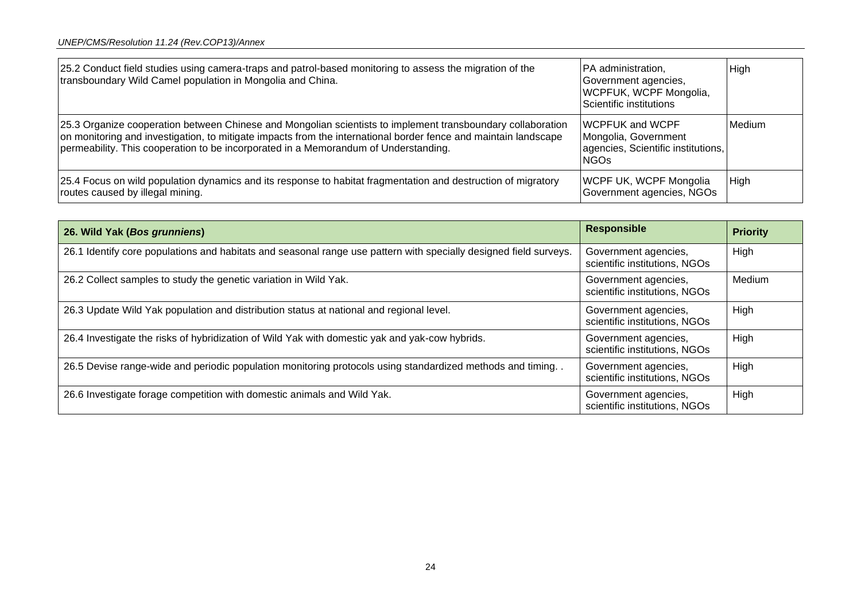| 25.2 Conduct field studies using camera-traps and patrol-based monitoring to assess the migration of the<br>transboundary Wild Camel population in Mongolia and China.                                                                                                                                                 | PA administration,<br>Government agencies,<br><b>WCPFUK, WCPF Mongolia,</b><br>Scientific institutions | High   |
|------------------------------------------------------------------------------------------------------------------------------------------------------------------------------------------------------------------------------------------------------------------------------------------------------------------------|--------------------------------------------------------------------------------------------------------|--------|
| [25.3 Organize cooperation between Chinese and Mongolian scientists to implement transboundary collaboration<br>on monitoring and investigation, to mitigate impacts from the international border fence and maintain landscape<br>permeability. This cooperation to be incorporated in a Memorandum of Understanding. | <b>WCPFUK and WCPF</b><br>Mongolia, Government<br>agencies, Scientific institutions,<br><b>NGOs</b>    | Medium |
| 25.4 Focus on wild population dynamics and its response to habitat fragmentation and destruction of migratory<br>routes caused by illegal mining.                                                                                                                                                                      | <b>WCPF UK, WCPF Mongolia</b><br>Government agencies, NGOs                                             | High   |

| 26. Wild Yak (Bos grunniens)                                                                                      | <b>Responsible</b>                                    | <b>Priority</b> |
|-------------------------------------------------------------------------------------------------------------------|-------------------------------------------------------|-----------------|
| 26.1 Identify core populations and habitats and seasonal range use pattern with specially designed field surveys. | Government agencies,<br>scientific institutions, NGOs | High            |
| 26.2 Collect samples to study the genetic variation in Wild Yak.                                                  | Government agencies,<br>scientific institutions, NGOs | Medium          |
| 26.3 Update Wild Yak population and distribution status at national and regional level.                           | Government agencies,<br>scientific institutions, NGOs | High            |
| 26.4 Investigate the risks of hybridization of Wild Yak with domestic yak and yak-cow hybrids.                    | Government agencies,<br>scientific institutions, NGOs | High            |
| 26.5 Devise range-wide and periodic population monitoring protocols using standardized methods and timing. .      | Government agencies,<br>scientific institutions, NGOs | High            |
| 26.6 Investigate forage competition with domestic animals and Wild Yak.                                           | Government agencies,<br>scientific institutions, NGOs | High            |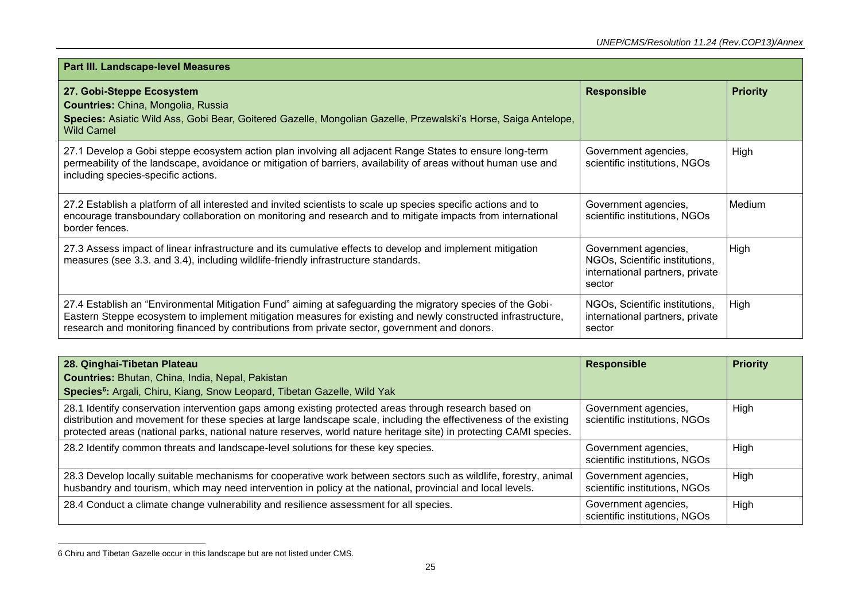| Part III. Landscape-level Measures                                                                                                                                                                                                                                                                                           |                                                                                                     |                 |
|------------------------------------------------------------------------------------------------------------------------------------------------------------------------------------------------------------------------------------------------------------------------------------------------------------------------------|-----------------------------------------------------------------------------------------------------|-----------------|
| 27. Gobi-Steppe Ecosystem<br>Countries: China, Mongolia, Russia<br>Species: Asiatic Wild Ass, Gobi Bear, Goitered Gazelle, Mongolian Gazelle, Przewalski's Horse, Saiga Antelope,<br><b>Wild Camel</b>                                                                                                                       | <b>Responsible</b>                                                                                  | <b>Priority</b> |
| 27.1 Develop a Gobi steppe ecosystem action plan involving all adjacent Range States to ensure long-term<br>permeability of the landscape, avoidance or mitigation of barriers, availability of areas without human use and<br>including species-specific actions.                                                           | Government agencies,<br>scientific institutions, NGOs                                               | High            |
| 27.2 Establish a platform of all interested and invited scientists to scale up species specific actions and to<br>encourage transboundary collaboration on monitoring and research and to mitigate impacts from international<br>border fences.                                                                              | Government agencies,<br>scientific institutions, NGOs                                               | Medium          |
| 27.3 Assess impact of linear infrastructure and its cumulative effects to develop and implement mitigation<br>measures (see 3.3. and 3.4), including wildlife-friendly infrastructure standards.                                                                                                                             | Government agencies,<br>NGOs, Scientific institutions,<br>international partners, private<br>sector | High            |
| 27.4 Establish an "Environmental Mitigation Fund" aiming at safeguarding the migratory species of the Gobi-<br>Eastern Steppe ecosystem to implement mitigation measures for existing and newly constructed infrastructure,<br>research and monitoring financed by contributions from private sector, government and donors. | NGOs, Scientific institutions,<br>international partners, private<br>sector                         | High            |

| 28. Qinghai-Tibetan Plateau                                                                                                                                                                                                                                                                                                                      | <b>Responsible</b>                                    | <b>Priority</b> |
|--------------------------------------------------------------------------------------------------------------------------------------------------------------------------------------------------------------------------------------------------------------------------------------------------------------------------------------------------|-------------------------------------------------------|-----------------|
| Countries: Bhutan, China, India, Nepal, Pakistan                                                                                                                                                                                                                                                                                                 |                                                       |                 |
| Species <sup>6</sup> : Argali, Chiru, Kiang, Snow Leopard, Tibetan Gazelle, Wild Yak                                                                                                                                                                                                                                                             |                                                       |                 |
| 28.1 Identify conservation intervention gaps among existing protected areas through research based on<br>distribution and movement for these species at large landscape scale, including the effectiveness of the existing<br>protected areas (national parks, national nature reserves, world nature heritage site) in protecting CAMI species. | Government agencies,<br>scientific institutions, NGOs | High            |
| 28.2 Identify common threats and landscape-level solutions for these key species.                                                                                                                                                                                                                                                                | Government agencies,<br>scientific institutions, NGOs | High            |
| 28.3 Develop locally suitable mechanisms for cooperative work between sectors such as wildlife, forestry, animal<br>husbandry and tourism, which may need intervention in policy at the national, provincial and local levels.                                                                                                                   | Government agencies,<br>scientific institutions, NGOs | High            |
| 28.4 Conduct a climate change vulnerability and resilience assessment for all species.                                                                                                                                                                                                                                                           | Government agencies,<br>scientific institutions, NGOs | High            |

<sup>6</sup> Chiru and Tibetan Gazelle occur in this landscape but are not listed under CMS.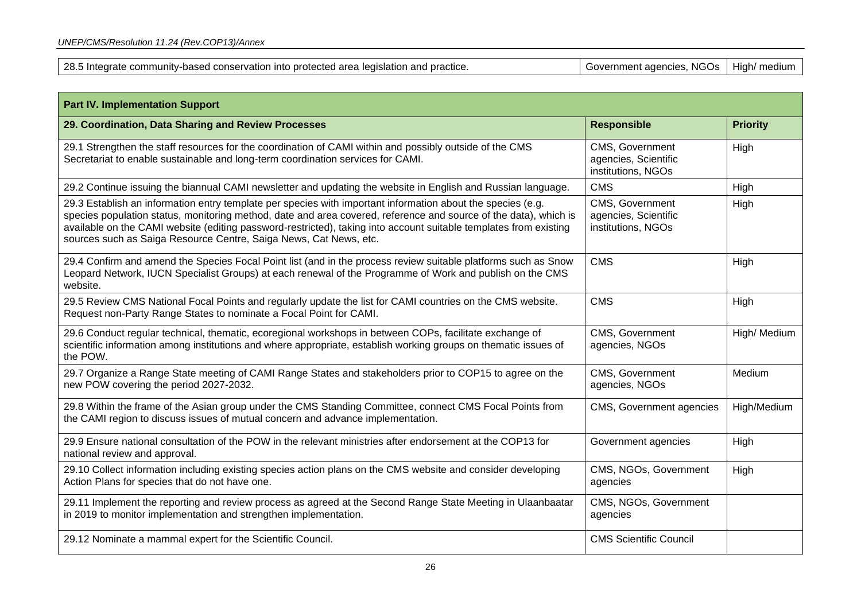| <b>Part IV. Implementation Support</b>                                                                                                                                                                                                                                                                                                                                                                                    |                                                               |                 |
|---------------------------------------------------------------------------------------------------------------------------------------------------------------------------------------------------------------------------------------------------------------------------------------------------------------------------------------------------------------------------------------------------------------------------|---------------------------------------------------------------|-----------------|
| 29. Coordination, Data Sharing and Review Processes                                                                                                                                                                                                                                                                                                                                                                       | <b>Responsible</b>                                            | <b>Priority</b> |
| 29.1 Strengthen the staff resources for the coordination of CAMI within and possibly outside of the CMS<br>Secretariat to enable sustainable and long-term coordination services for CAMI.                                                                                                                                                                                                                                | CMS, Government<br>agencies, Scientific<br>institutions, NGOs | High            |
| 29.2 Continue issuing the biannual CAMI newsletter and updating the website in English and Russian language.                                                                                                                                                                                                                                                                                                              | <b>CMS</b>                                                    | High            |
| 29.3 Establish an information entry template per species with important information about the species (e.g.<br>species population status, monitoring method, date and area covered, reference and source of the data), which is<br>available on the CAMI website (editing password-restricted), taking into account suitable templates from existing<br>sources such as Saiga Resource Centre, Saiga News, Cat News, etc. | CMS, Government<br>agencies, Scientific<br>institutions, NGOs | High            |
| 29.4 Confirm and amend the Species Focal Point list (and in the process review suitable platforms such as Snow<br>Leopard Network, IUCN Specialist Groups) at each renewal of the Programme of Work and publish on the CMS<br>website.                                                                                                                                                                                    | <b>CMS</b>                                                    | High            |
| 29.5 Review CMS National Focal Points and regularly update the list for CAMI countries on the CMS website.<br>Request non-Party Range States to nominate a Focal Point for CAMI.                                                                                                                                                                                                                                          | <b>CMS</b>                                                    | High            |
| 29.6 Conduct regular technical, thematic, ecoregional workshops in between COPs, facilitate exchange of<br>scientific information among institutions and where appropriate, establish working groups on thematic issues of<br>the POW.                                                                                                                                                                                    | CMS, Government<br>agencies, NGOs                             | High/ Medium    |
| 29.7 Organize a Range State meeting of CAMI Range States and stakeholders prior to COP15 to agree on the<br>new POW covering the period 2027-2032.                                                                                                                                                                                                                                                                        | CMS, Government<br>agencies, NGOs                             | Medium          |
| 29.8 Within the frame of the Asian group under the CMS Standing Committee, connect CMS Focal Points from<br>the CAMI region to discuss issues of mutual concern and advance implementation.                                                                                                                                                                                                                               | CMS, Government agencies                                      | High/Medium     |
| 29.9 Ensure national consultation of the POW in the relevant ministries after endorsement at the COP13 for<br>national review and approval.                                                                                                                                                                                                                                                                               | Government agencies                                           | High            |
| 29.10 Collect information including existing species action plans on the CMS website and consider developing<br>Action Plans for species that do not have one.                                                                                                                                                                                                                                                            | CMS, NGOs, Government<br>agencies                             | High            |
| 29.11 Implement the reporting and review process as agreed at the Second Range State Meeting in Ulaanbaatar<br>in 2019 to monitor implementation and strengthen implementation.                                                                                                                                                                                                                                           | CMS, NGOs, Government<br>agencies                             |                 |
| 29.12 Nominate a mammal expert for the Scientific Council.                                                                                                                                                                                                                                                                                                                                                                | <b>CMS Scientific Council</b>                                 |                 |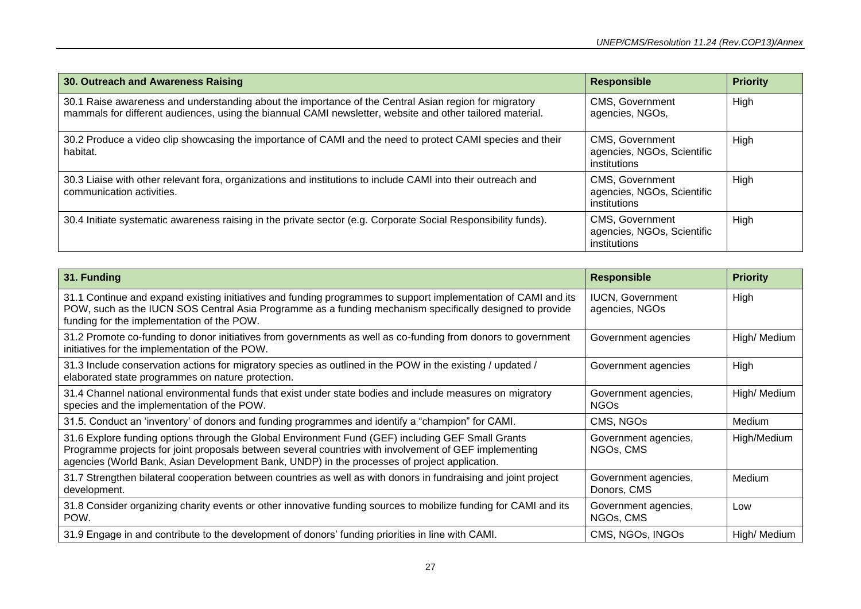| 30. Outreach and Awareness Raising                                                                                                                                                                                 | <b>Responsible</b>                                                   | <b>Priority</b> |
|--------------------------------------------------------------------------------------------------------------------------------------------------------------------------------------------------------------------|----------------------------------------------------------------------|-----------------|
| 30.1 Raise awareness and understanding about the importance of the Central Asian region for migratory<br>mammals for different audiences, using the biannual CAMI newsletter, website and other tailored material. | <b>CMS, Government</b><br>agencies, NGOs,                            | High            |
| 30.2 Produce a video clip showcasing the importance of CAMI and the need to protect CAMI species and their<br>habitat.                                                                                             | <b>CMS, Government</b><br>agencies, NGOs, Scientific<br>institutions | High            |
| 30.3 Liaise with other relevant fora, organizations and institutions to include CAMI into their outreach and<br>communication activities.                                                                          | <b>CMS, Government</b><br>agencies, NGOs, Scientific<br>institutions | High            |
| 30.4 Initiate systematic awareness raising in the private sector (e.g. Corporate Social Responsibility funds).                                                                                                     | <b>CMS, Government</b><br>agencies, NGOs, Scientific<br>institutions | High            |

| 31. Funding                                                                                                                                                                                                                                                                                                | <b>Responsible</b>                        | <b>Priority</b> |
|------------------------------------------------------------------------------------------------------------------------------------------------------------------------------------------------------------------------------------------------------------------------------------------------------------|-------------------------------------------|-----------------|
| 31.1 Continue and expand existing initiatives and funding programmes to support implementation of CAMI and its<br>POW, such as the IUCN SOS Central Asia Programme as a funding mechanism specifically designed to provide<br>funding for the implementation of the POW.                                   | <b>IUCN, Government</b><br>agencies, NGOs | High            |
| 31.2 Promote co-funding to donor initiatives from governments as well as co-funding from donors to government<br>initiatives for the implementation of the POW.                                                                                                                                            | Government agencies                       | High/ Medium    |
| 31.3 Include conservation actions for migratory species as outlined in the POW in the existing / updated /<br>elaborated state programmes on nature protection.                                                                                                                                            | Government agencies                       | High            |
| 31.4 Channel national environmental funds that exist under state bodies and include measures on migratory<br>species and the implementation of the POW.                                                                                                                                                    | Government agencies,<br>NGOs              | High/ Medium    |
| 31.5. Conduct an 'inventory' of donors and funding programmes and identify a "champion" for CAMI.                                                                                                                                                                                                          | CMS, NGOs                                 | Medium          |
| 31.6 Explore funding options through the Global Environment Fund (GEF) including GEF Small Grants<br>Programme projects for joint proposals between several countries with involvement of GEF implementing<br>agencies (World Bank, Asian Development Bank, UNDP) in the processes of project application. | Government agencies,<br>NGOs, CMS         | High/Medium     |
| 31.7 Strengthen bilateral cooperation between countries as well as with donors in fundraising and joint project<br>development.                                                                                                                                                                            | Government agencies,<br>Donors, CMS       | Medium          |
| 31.8 Consider organizing charity events or other innovative funding sources to mobilize funding for CAMI and its<br>POW.                                                                                                                                                                                   | Government agencies,<br>NGOs, CMS         | Low             |
| 31.9 Engage in and contribute to the development of donors' funding priorities in line with CAMI.                                                                                                                                                                                                          | CMS, NGOs, INGOs                          | High/ Medium    |